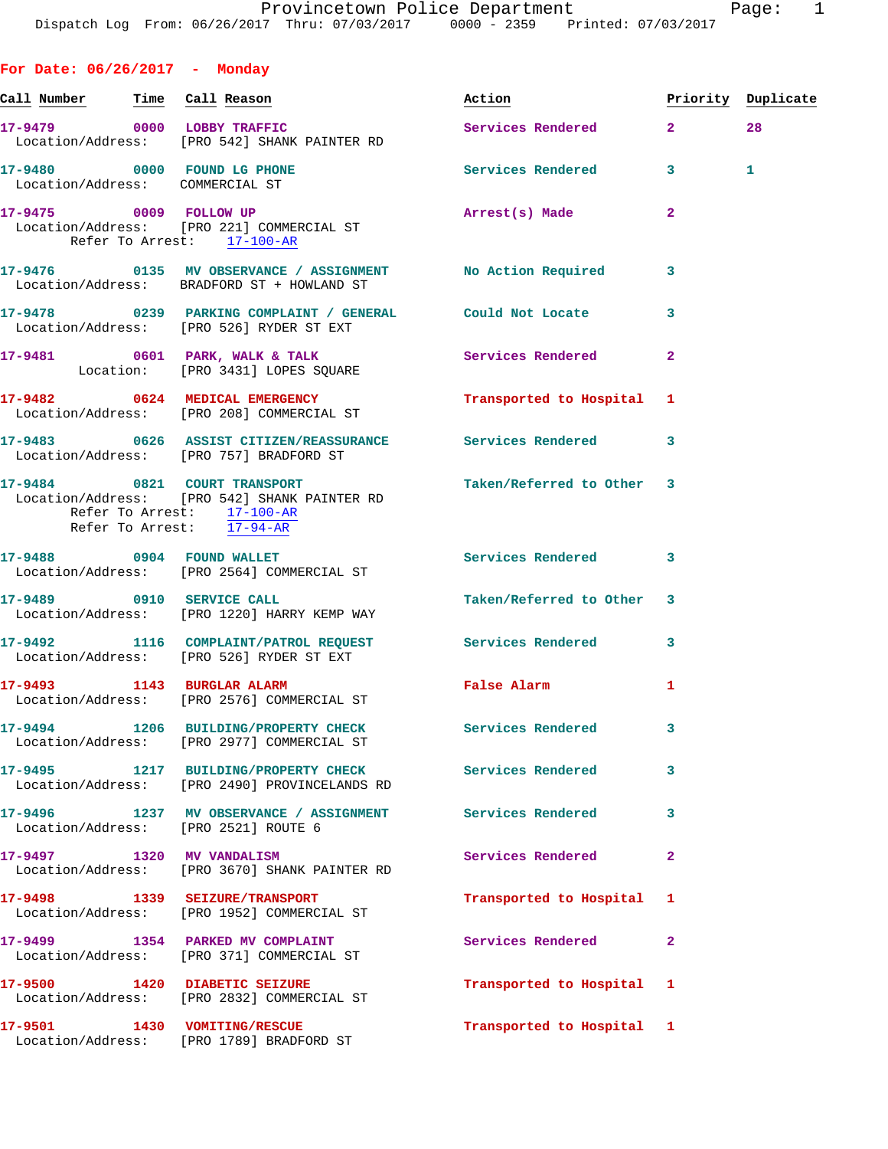**For Date: 06/26/2017 - Monday** Call Number Time Call Reason **Reason Action Action** Priority Duplicate **17-9479 0000 LOBBY TRAFFIC Services Rendered 2 28**  Location/Address: [PRO 542] SHANK PAINTER RD 17-9480 0000 FOUND LG PHONE **17-9480** Services Rendered 3 1 Location/Address: COMMERCIAL ST **17-9475 0009 FOLLOW UP Arrest(s) Made 2**  Location/Address: [PRO 221] COMMERCIAL ST Refer To Arrest: 17-100-AR **17-9476 0135 MV OBSERVANCE / ASSIGNMENT No Action Required 3**  Location/Address: BRADFORD ST + HOWLAND ST **17-9478 0239 PARKING COMPLAINT / GENERAL Could Not Locate 3**  Location/Address: [PRO 526] RYDER ST EXT **17-9481 0601 PARK, WALK & TALK Services Rendered 2**  Location: [PRO 3431] LOPES SQUARE **17-9482 0624 MEDICAL EMERGENCY Transported to Hospital 1**  Location/Address: [PRO 208] COMMERCIAL ST **17-9483 0626 ASSIST CITIZEN/REASSURANCE Services Rendered 3**  Location/Address: [PRO 757] BRADFORD ST **17-9484 0821 COURT TRANSPORT Taken/Referred to Other 3**  Location/Address: [PRO 542] SHANK PAINTER RD Refer To Arrest: 17-100-AR Refer To Arrest: 17-94-AR **17-9488 0904 FOUND WALLET Services Rendered 3**  Location/Address: [PRO 2564] COMMERCIAL ST 17-9489 0910 SERVICE CALL **Taken/Referred to Other** 3 Location/Address: [PRO 1220] HARRY KEMP WAY **17-9492 1116 COMPLAINT/PATROL REQUEST Services Rendered 3**  Location/Address: [PRO 526] RYDER ST EXT **17-9493 1143 BURGLAR ALARM False Alarm 1**  Location/Address: [PRO 2576] COMMERCIAL ST **17-9494 1206 BUILDING/PROPERTY CHECK Services Rendered 3**  Location/Address: [PRO 2977] COMMERCIAL ST **17-9495 1217 BUILDING/PROPERTY CHECK Services Rendered 3**  Location/Address: [PRO 2490] PROVINCELANDS RD **17-9496 1237 MV OBSERVANCE / ASSIGNMENT Services Rendered 3**  Location/Address: [PRO 2521] ROUTE 6 **17-9497 1320 MV VANDALISM Services Rendered 2**  Location/Address: [PRO 3670] SHANK PAINTER RD **17-9498 1339 SEIZURE/TRANSPORT Transported to Hospital 1**  Location/Address: [PRO 1952] COMMERCIAL ST 17-9499 1354 PARKED MV COMPLAINT **17-9499 Services Rendered** 2 Location/Address: [PRO 371] COMMERCIAL ST **17-9500 1420 DIABETIC SEIZURE Transported to Hospital 1**  Location/Address: [PRO 2832] COMMERCIAL ST **17-9501 1430 VOMITING/RESCUE Transported to Hospital 1**  Location/Address: [PRO 1789] BRADFORD ST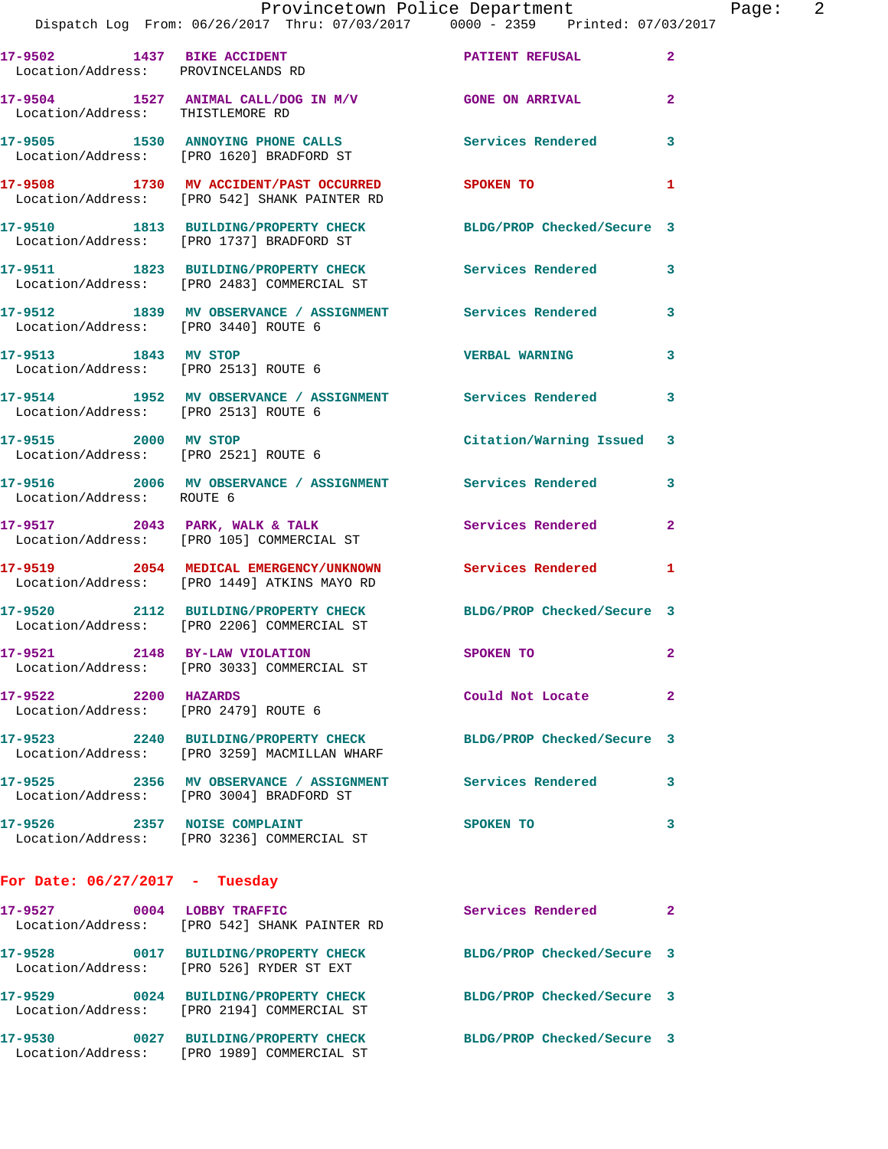Location/Address: [PRO 542] SHANK PAINTER RD **17-9510 1813 BUILDING/PROPERTY CHECK BLDG/PROP Checked/Secure 3**  Location/Address: [PRO 1737] BRADFORD ST **17-9511 1823 BUILDING/PROPERTY CHECK Services Rendered 3**  Location/Address: [PRO 2483] COMMERCIAL ST **17-9512 1839 MV OBSERVANCE / ASSIGNMENT Services Rendered 3**  Location/Address: [PRO 3440] ROUTE 6 **17-9513 1843 MV STOP VERBAL WARNING 3**  Location/Address: [PRO 2513] ROUTE 6 **17-9514 1952 MV OBSERVANCE / ASSIGNMENT Services Rendered 3**  Location/Address: [PRO 2513] ROUTE 6 **17-9515 2000 MV STOP Citation/Warning Issued 3**  Location/Address: [PRO 2521] ROUTE 6 **17-9516 2006 MV OBSERVANCE / ASSIGNMENT Services Rendered 3**  Location/Address: ROUTE 6 **17-9517 2043 PARK, WALK & TALK Services Rendered 2**  Location/Address: [PRO 105] COMMERCIAL ST **17-9519 2054 MEDICAL EMERGENCY/UNKNOWN Services Rendered 1**  Location/Address: [PRO 1449] ATKINS MAYO RD **17-9520 2112 BUILDING/PROPERTY CHECK BLDG/PROP Checked/Secure 3**  Location/Address: [PRO 2206] COMMERCIAL ST **17-9521 2148 BY-LAW VIOLATION SPOKEN TO 2**  Location/Address: [PRO 3033] COMMERCIAL ST **17-9522 2200 HAZARDS Could Not Locate 2**  Location/Address: [PRO 2479] ROUTE 6 **17-9523 2240 BUILDING/PROPERTY CHECK BLDG/PROP Checked/Secure 3**  Location/Address: [PRO 3259] MACMILLAN WHARF **17-9525 2356 MV OBSERVANCE / ASSIGNMENT Services Rendered 3**  Location/Address: [PRO 3004] BRADFORD ST **17-9526 2357 NOISE COMPLAINT SPOKEN TO 3** 

**For Date: 06/27/2017 - Tuesday 17-9527 0004 LOBBY TRAFFIC Services Rendered 2**  Location/Address: [PRO 542] SHANK PAINTER RD **17-9528 0017 BUILDING/PROPERTY CHECK BLDG/PROP Checked/Secure 3**  Location/Address: [PRO 526] RYDER ST EXT **17-9529 0024 BUILDING/PROPERTY CHECK BLDG/PROP Checked/Secure 3**  Location/Address: [PRO 2194] COMMERCIAL ST **17-9530 0027 BUILDING/PROPERTY CHECK BLDG/PROP Checked/Secure 3**  Location/Address: [PRO 1989] COMMERCIAL ST

Location/Address: [PRO 3236] COMMERCIAL ST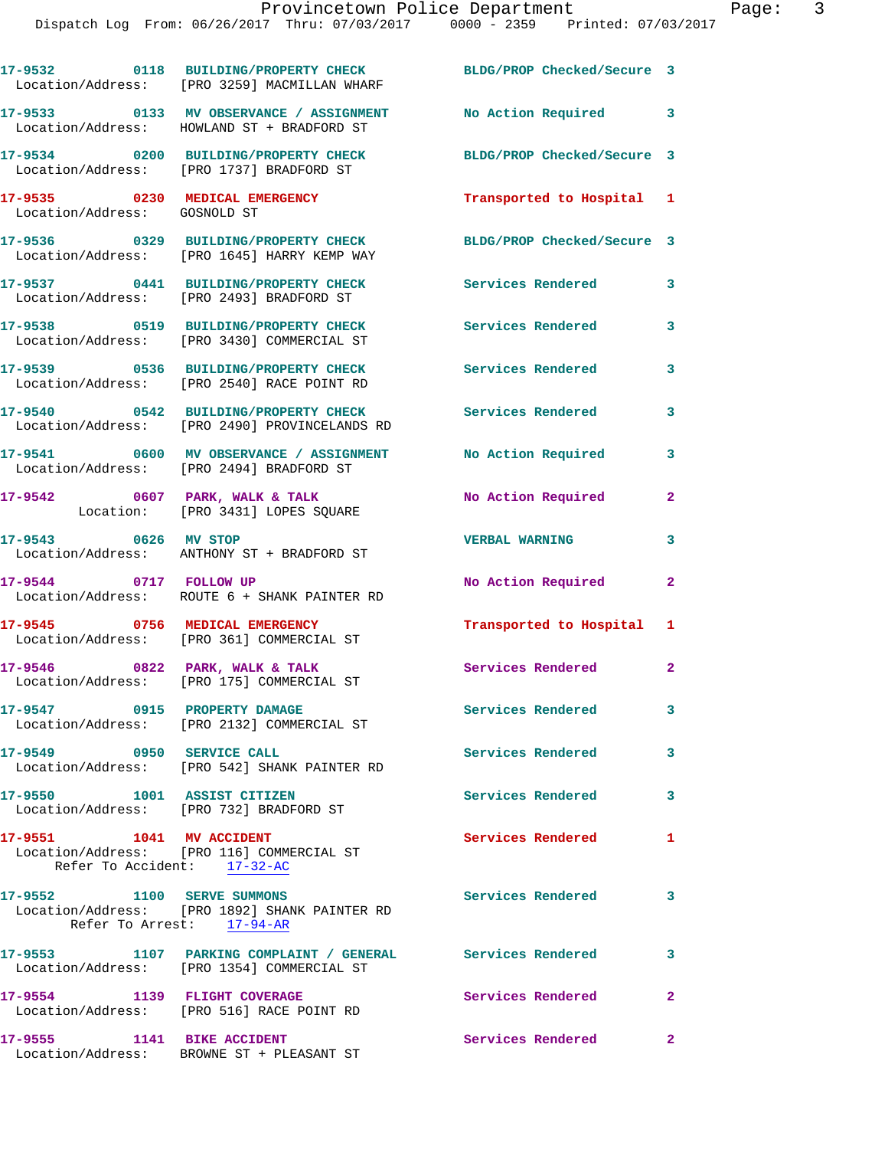|                                                         | 17-9532 0118 BUILDING/PROPERTY CHECK<br>Location/Address: [PRO 3259] MACMILLAN WHARF                     | BLDG/PROP Checked/Secure 3 |                         |
|---------------------------------------------------------|----------------------------------------------------------------------------------------------------------|----------------------------|-------------------------|
|                                                         | 17-9533 0133 MV OBSERVANCE / ASSIGNMENT<br>Location/Address: HOWLAND ST + BRADFORD ST                    | No Action Required 3       |                         |
|                                                         | 17-9534 0200 BUILDING/PROPERTY CHECK<br>Location/Address: [PRO 1737] BRADFORD ST                         | BLDG/PROP Checked/Secure 3 |                         |
| Location/Address: GOSNOLD ST                            | 17-9535 0230 MEDICAL EMERGENCY                                                                           | Transported to Hospital 1  |                         |
|                                                         | 17-9536 0329 BUILDING/PROPERTY CHECK<br>Location/Address: [PRO 1645] HARRY KEMP WAY                      | BLDG/PROP Checked/Secure 3 |                         |
|                                                         | 17-9537 0441 BUILDING/PROPERTY CHECK<br>Location/Address: [PRO 2493] BRADFORD ST                         | Services Rendered          | 3                       |
|                                                         | 17-9538 0519 BUILDING/PROPERTY CHECK<br>Location/Address: [PRO 3430] COMMERCIAL ST                       | <b>Services Rendered</b>   | 3                       |
|                                                         | 17-9539 0536 BUILDING/PROPERTY CHECK<br>Location/Address: [PRO 2540] RACE POINT RD                       | <b>Services Rendered</b>   | 3                       |
|                                                         | 17-9540 0542 BUILDING/PROPERTY CHECK<br>Location/Address: [PRO 2490] PROVINCELANDS RD                    | <b>Services Rendered</b>   | 3                       |
|                                                         | 17-9541 0600 MV OBSERVANCE / ASSIGNMENT No Action Required<br>Location/Address: [PRO 2494] BRADFORD ST   |                            | 3                       |
|                                                         | 17-9542 0607 PARK, WALK & TALK<br>Location: [PRO 3431] LOPES SQUARE                                      | No Action Required         | $\mathbf{2}$            |
|                                                         | 17-9543 0626 MV STOP<br>Location/Address: ANTHONY ST + BRADFORD ST                                       | <b>VERBAL WARNING</b>      | 3                       |
| 17-9544 0717 FOLLOW UP                                  | Location/Address: ROUTE 6 + SHANK PAINTER RD                                                             | No Action Required         | $\mathbf{2}$            |
|                                                         | 17-9545 0756 MEDICAL EMERGENCY<br>Location/Address: [PRO 361] COMMERCIAL ST                              | Transported to Hospital 1  |                         |
| $17-9546$ 0822 PARK, WALK & TALK                        | Location/Address: [PRO 175] COMMERCIAL ST                                                                | Services Rendered          | $\overline{2}$          |
| 17-9547 0915 PROPERTY DAMAGE                            | Location/Address: [PRO 2132] COMMERCIAL ST                                                               | Services Rendered          | 3                       |
| 17-9549 0950 SERVICE CALL                               | Location/Address: [PRO 542] SHANK PAINTER RD                                                             | <b>Services Rendered</b>   | $\mathbf{3}$            |
| 17-9550 1001 ASSIST CITIZEN                             | Location/Address: [PRO 732] BRADFORD ST                                                                  | <b>Services Rendered</b>   | 3                       |
| 17-9551 1041 MV ACCIDENT<br>Refer To Accident: 17-32-AC | Location/Address: [PRO 116] COMMERCIAL ST                                                                | <b>Services Rendered</b>   | $\mathbf{1}$            |
| 17-9552 1100 SERVE SUMMONS                              | Location/Address: [PRO 1892] SHANK PAINTER RD<br>Refer To Arrest: 17-94-AR                               | <b>Services Rendered</b>   | 3                       |
|                                                         | 17-9553 1107 PARKING COMPLAINT / GENERAL Services Rendered<br>Location/Address: [PRO 1354] COMMERCIAL ST |                            | $\overline{\mathbf{3}}$ |
| 17-9554 1139 FLIGHT COVERAGE                            | Location/Address: [PRO 516] RACE POINT RD                                                                | Services Rendered          | $\overline{2}$          |
| 17-9555 1141 BIKE ACCIDENT                              | Location/Address: BROWNE ST + PLEASANT ST                                                                | Services Rendered          | $\mathbf{2}$            |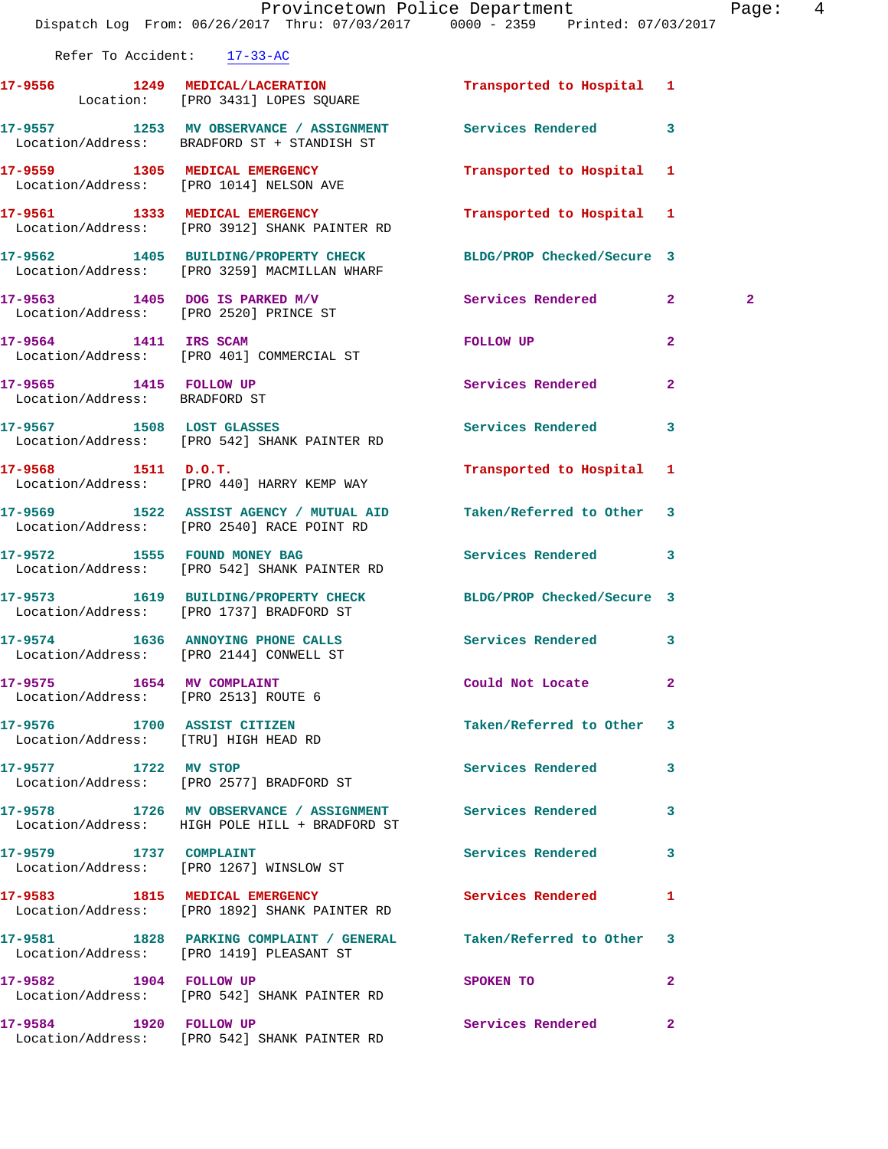|                                                                     | Dispatch Log From: 06/26/2017 Thru: 07/03/2017 0000 - 2359 Printed: 07/03/2017                                  | Provincetown Police Department | Page: 4        |  |
|---------------------------------------------------------------------|-----------------------------------------------------------------------------------------------------------------|--------------------------------|----------------|--|
| Refer To Accident: 17-33-AC                                         |                                                                                                                 |                                |                |  |
|                                                                     | 17-9556 1249 MEDICAL/LACERATION Transported to Hospital 1<br>Location: [PRO 3431] LOPES SQUARE                  |                                |                |  |
|                                                                     | 17-9557 1253 MV OBSERVANCE / ASSIGNMENT Services Rendered 3<br>Location/Address: BRADFORD ST + STANDISH ST      |                                |                |  |
|                                                                     | 17-9559 1305 MEDICAL EMERGENCY<br>Location/Address: [PRO 1014] NELSON AVE                                       | Transported to Hospital 1      |                |  |
|                                                                     |                                                                                                                 | Transported to Hospital 1      |                |  |
|                                                                     | 17-9562 1405 BUILDING/PROPERTY CHECK BLDG/PROP Checked/Secure 3<br>Location/Address: [PRO 3259] MACMILLAN WHARF |                                |                |  |
|                                                                     | 17-9563 1405 DOG IS PARKED M/V<br>Location/Address: [PRO 2520] PRINCE ST                                        | Services Rendered 2            | $\overline{a}$ |  |
|                                                                     | 17-9564 1411 IRS SCAM<br>Location/Address: [PRO 401] COMMERCIAL ST                                              | FOLLOW UP                      | $\mathbf{2}$   |  |
| 17-9565 1415 FOLLOW UP<br>Location/Address: BRADFORD ST             |                                                                                                                 | Services Rendered              | $\overline{2}$ |  |
|                                                                     | 17-9567 1508 LOST GLASSES<br>Location/Address: [PRO 542] SHANK PAINTER RD                                       | <b>Services Rendered</b>       | 3              |  |
| $17 - 9568$ 1511 D.O.T.                                             | Location/Address: [PRO 440] HARRY KEMP WAY                                                                      | Transported to Hospital 1      |                |  |
|                                                                     | 17-9569 1522 ASSIST AGENCY / MUTUAL AID<br>Location/Address: [PRO 2540] RACE POINT RD                           | Taken/Referred to Other 3      |                |  |
| 17-9572 1555 FOUND MONEY BAG                                        | Location/Address: [PRO 542] SHANK PAINTER RD                                                                    | Services Rendered 3            |                |  |
|                                                                     | 17-9573 1619 BUILDING/PROPERTY CHECK BLDG/PROP Checked/Secure 3<br>Location/Address: [PRO 1737] BRADFORD ST     |                                |                |  |
|                                                                     | 17-9574 1636 ANNOYING PHONE CALLS<br>Location/Address: [PRO 2144] CONWELL ST                                    | Services Rendered 3            |                |  |
| 17-9575 1654 MV COMPLAINT<br>Location/Address: [PRO 2513] ROUTE 6   |                                                                                                                 | Could Not Locate               | $\mathbf{2}$   |  |
| 17-9576 1700 ASSIST CITIZEN<br>Location/Address: [TRU] HIGH HEAD RD |                                                                                                                 | Taken/Referred to Other 3      |                |  |
| 17-9577 1722 MV STOP                                                | Location/Address: [PRO 2577] BRADFORD ST                                                                        | Services Rendered              | 3              |  |
|                                                                     | 17-9578 1726 MV OBSERVANCE / ASSIGNMENT Services Rendered 3<br>Location/Address: HIGH POLE HILL + BRADFORD ST   |                                |                |  |
|                                                                     | 17-9579 1737 COMPLAINT<br>Location/Address: [PRO 1267] WINSLOW ST                                               | <b>Services Rendered</b>       | 3              |  |
|                                                                     | 17-9583 1815 MEDICAL EMERGENCY<br>Location/Address: [PRO 1892] SHANK PAINTER RD                                 | Services Rendered 1            |                |  |
|                                                                     | 17-9581 1828 PARKING COMPLAINT / GENERAL<br>Location/Address: [PRO 1419] PLEASANT ST                            | Taken/Referred to Other 3      |                |  |
| 17-9582 1904 FOLLOW UP                                              | Location/Address: [PRO 542] SHANK PAINTER RD                                                                    | SPOKEN TO                      | $\mathbf{2}$   |  |
| 17-9584 1920 FOLLOW UP                                              | Location/Address: [PRO 542] SHANK PAINTER RD                                                                    | Services Rendered              | $\mathbf{2}$   |  |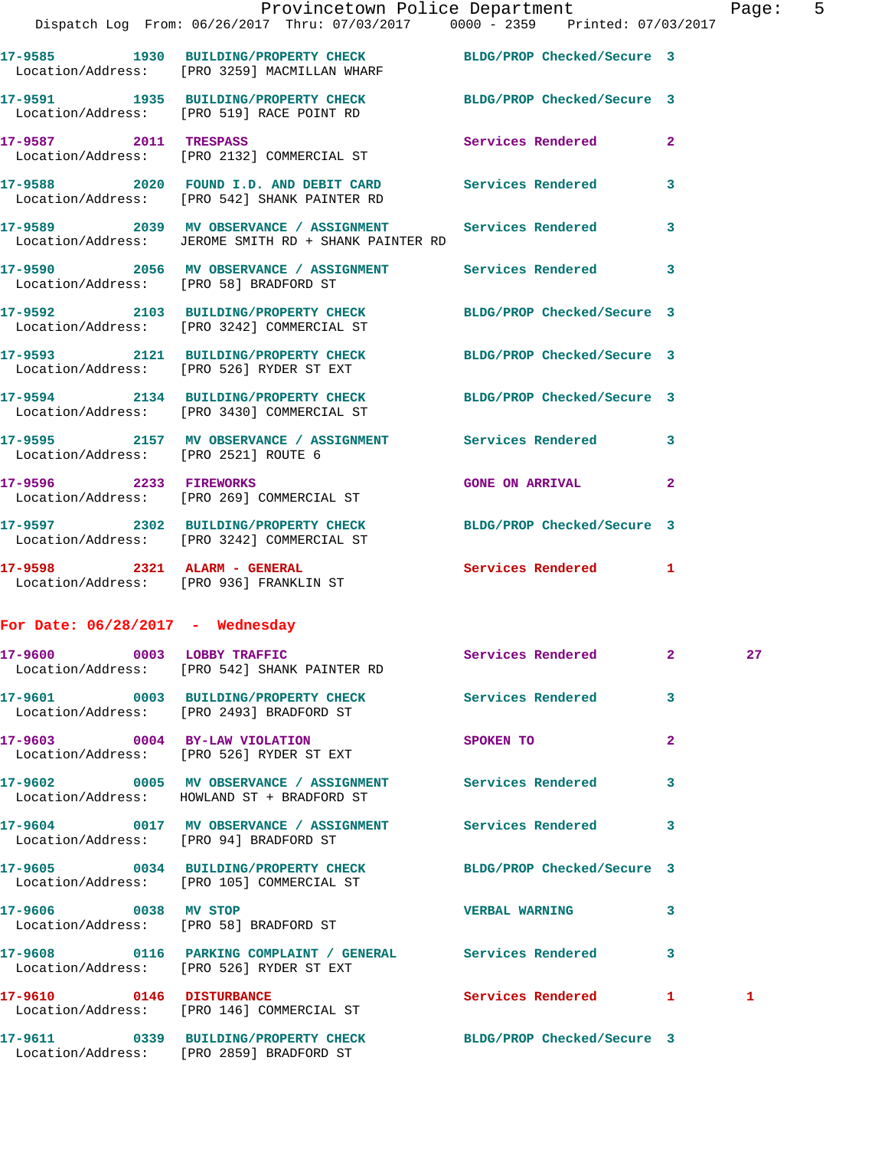|                                        | Provincetown Police Department<br>Dispatch Log From: 06/26/2017 Thru: 07/03/2017 0000 - 2359 Printed: 07/03/2017    |                          |              | Page: 5 |  |
|----------------------------------------|---------------------------------------------------------------------------------------------------------------------|--------------------------|--------------|---------|--|
|                                        | 17-9585 1930 BUILDING/PROPERTY CHECK BLDG/PROP Checked/Secure 3<br>Location/Address: [PRO 3259] MACMILLAN WHARF     |                          |              |         |  |
|                                        | 17-9591 1935 BUILDING/PROPERTY CHECK BLDG/PROP Checked/Secure 3<br>Location/Address: [PRO 519] RACE POINT RD        |                          |              |         |  |
|                                        | 17-9587 2011 TRESPASS<br>Location/Address: [PRO 2132] COMMERCIAL ST                                                 | Services Rendered 2      |              |         |  |
|                                        | 17-9588 2020 FOUND I.D. AND DEBIT CARD Services Rendered<br>Location/Address: [PRO 542] SHANK PAINTER RD            |                          | $\mathbf{3}$ |         |  |
|                                        | 17-9589 2039 MV OBSERVANCE / ASSIGNMENT Services Rendered 3<br>Location/Address: JEROME SMITH RD + SHANK PAINTER RD |                          |              |         |  |
| Location/Address: [PRO 58] BRADFORD ST | 17-9590 2056 MV OBSERVANCE / ASSIGNMENT Services Rendered 3                                                         |                          |              |         |  |
|                                        | 17-9592 2103 BUILDING/PROPERTY CHECK BLDG/PROP Checked/Secure 3<br>Location/Address: [PRO 3242] COMMERCIAL ST       |                          |              |         |  |
|                                        | 17-9593 2121 BUILDING/PROPERTY CHECK BLDG/PROP Checked/Secure 3<br>Location/Address: [PRO 526] RYDER ST EXT         |                          |              |         |  |
|                                        | 17-9594 2134 BUILDING/PROPERTY CHECK BLDG/PROP Checked/Secure 3<br>Location/Address: [PRO 3430] COMMERCIAL ST       |                          |              |         |  |
| Location/Address: [PRO 2521] ROUTE 6   | 17-9595 2157 MV OBSERVANCE / ASSIGNMENT Services Rendered 3                                                         |                          |              |         |  |
| 17-9596 2233 FIREWORKS                 | Location/Address: [PRO 269] COMMERCIAL ST                                                                           | <b>GONE ON ARRIVAL 2</b> |              |         |  |
|                                        | 17-9597 2302 BUILDING/PROPERTY CHECK BLDG/PROP Checked/Secure 3<br>Location/Address: [PRO 3242] COMMERCIAL ST       |                          |              |         |  |
|                                        | 17-9598 2321 ALARM - GENERAL<br>Location/Address: [PRO 936] FRANKLIN ST                                             | Services Rendered 1      |              |         |  |
| For Date: $06/28/2017$ - Wednesday     |                                                                                                                     |                          |              |         |  |
| 17-9600                                | 0003 LOBBY TRAFFIC<br>Location/Address: [PRO 542] SHANK PAINTER RD                                                  | Services Rendered 2      |              | 27      |  |
|                                        | 17-9601 0003 BUILDING/PROPERTY CHECK Services Rendered 3<br>Location/Address: [PRO 2493] BRADFORD ST                |                          |              |         |  |
|                                        | 17-9603 0004 BY-LAW VIOLATION<br>Location/Address: [PRO 526] RYDER ST EXT                                           | <b>SPOKEN TO</b>         | $\mathbf{2}$ |         |  |
|                                        | 17-9602 0005 MV OBSERVANCE / ASSIGNMENT Services Rendered 3<br>Location/Address: HOWLAND ST + BRADFORD ST           |                          |              |         |  |
| Location/Address: [PRO 94] BRADFORD ST | 17-9604 0017 MV OBSERVANCE / ASSIGNMENT Services Rendered 3                                                         |                          |              |         |  |
|                                        | 17-9605 0034 BUILDING/PROPERTY CHECK BLDG/PROP Checked/Secure 3<br>Location/Address: [PRO 105] COMMERCIAL ST        |                          |              |         |  |
| 17-9606 0038 MV STOP                   | Location/Address: [PRO 58] BRADFORD ST                                                                              | VERBAL WARNING 3         |              |         |  |
|                                        | 17-9608 0116 PARKING COMPLAINT / GENERAL Services Rendered 3<br>Location/Address: [PRO 526] RYDER ST EXT            |                          |              |         |  |
| 17-9610 0146 DISTURBANCE               | Location/Address: [PRO 146] COMMERCIAL ST                                                                           | Services Rendered 1      |              | 1       |  |
|                                        |                                                                                                                     |                          |              |         |  |

Location/Address: [PRO 2859] BRADFORD ST

**17-9611 0339 BUILDING/PROPERTY CHECK BLDG/PROP Checked/Secure 3**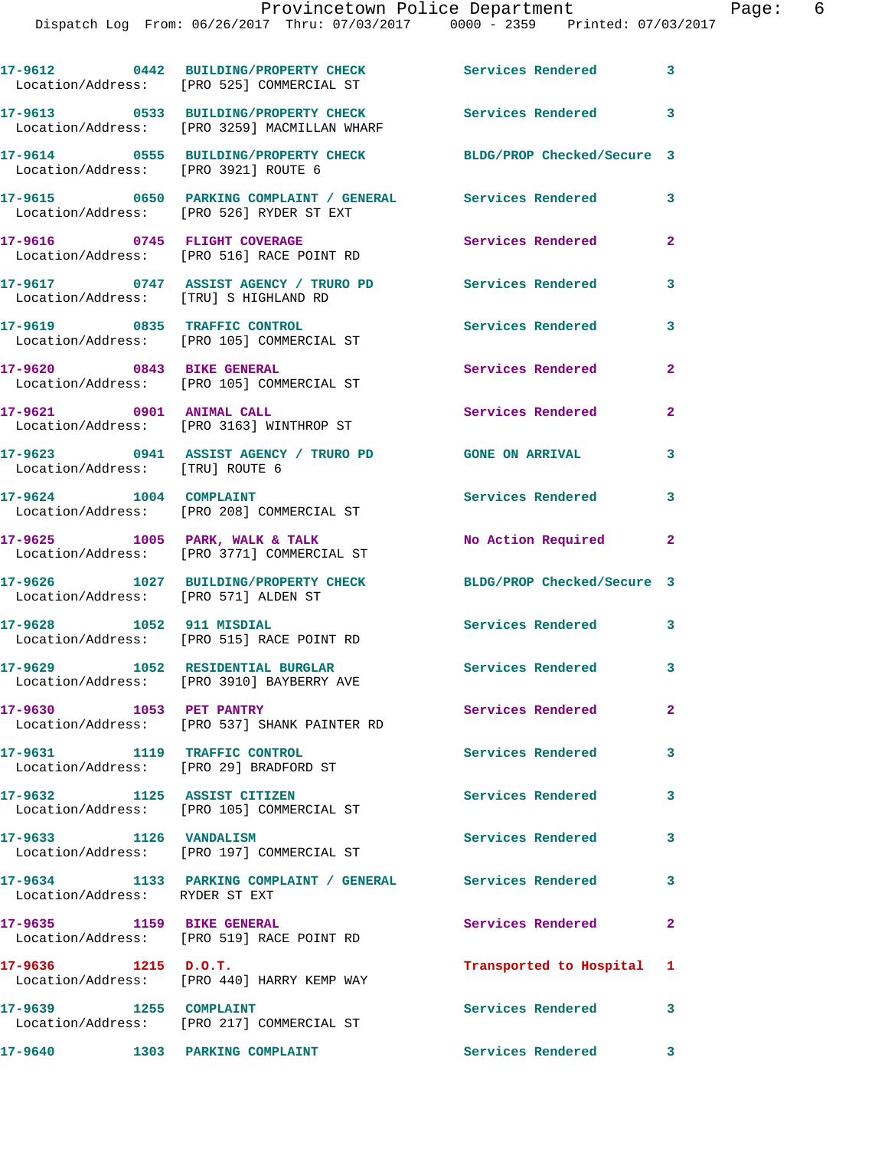|         |                       | 17-9612 0442 BUILDING/PROPERTY CHECK Services Rendered 3<br>Location/Address: [PRO 525] COMMERCIAL ST   |                            |              |
|---------|-----------------------|---------------------------------------------------------------------------------------------------------|----------------------------|--------------|
|         |                       | 17-9613 0533 BUILDING/PROPERTY CHECK<br>Location/Address: [PRO 3259] MACMILLAN WHARF                    | <b>Services Rendered</b>   | 3            |
|         |                       | 17-9614 0555 BUILDING/PROPERTY CHECK BLDG/PROP Checked/Secure 3<br>Location/Address: [PRO 3921] ROUTE 6 |                            |              |
|         |                       |                                                                                                         |                            | 3            |
|         |                       | 17-9616 0745 FLIGHT COVERAGE<br>Location/Address: [PRO 516] RACE POINT RD                               | Services Rendered          | $\mathbf{2}$ |
|         |                       | 17-9617 0747 ASSIST AGENCY / TRURO PD<br>Location/Address: [TRU] S HIGHLAND RD                          | Services Rendered          | 3            |
|         |                       | 17-9619 0835 TRAFFIC CONTROL<br>Location/Address: [PRO 105] COMMERCIAL ST                               | Services Rendered          | 3            |
|         |                       | 17-9620 0843 BIKE GENERAL<br>Location/Address: [PRO 105] COMMERCIAL ST                                  | Services Rendered          | $\mathbf{2}$ |
|         |                       | 17-9621 0901 ANIMAL CALL<br>Location/Address: [PRO 3163] WINTHROP ST                                    | Services Rendered          | $\mathbf{2}$ |
|         |                       | 17-9623 0941 ASSIST AGENCY / TRURO PD<br>Location/Address: [TRU] ROUTE 6                                | <b>GONE ON ARRIVAL</b>     | 3            |
|         |                       | 17-9624 1004 COMPLAINT<br>Location/Address: [PRO 208] COMMERCIAL ST                                     | Services Rendered          | 3            |
|         |                       | $17-9625$ 1005 PARK, WALK & TALK<br>Location/Address: [PRO 3771] COMMERCIAL ST                          | No Action Required 2       |              |
|         |                       | 17-9626 1027 BUILDING/PROPERTY CHECK<br>Location/Address: [PRO 571] ALDEN ST                            | BLDG/PROP Checked/Secure 3 |              |
|         |                       | 17-9628 1052 911 MISDIAL<br>Location/Address: [PRO 515] RACE POINT RD                                   | Services Rendered 3        |              |
|         |                       | 17-9629 1052 RESIDENTIAL BURGLAR<br>Location/Address: [PRO 3910] BAYBERRY AVE                           | Services Rendered 3        |              |
|         |                       | 17-9630 1053 PET PANTRY<br>Location/Address: [PRO 537] SHANK PAINTER RD                                 | Services Rendered          | $\mathbf{2}$ |
|         |                       | 17-9631 1119 TRAFFIC CONTROL<br>Location/Address: [PRO 29] BRADFORD ST                                  | <b>Services Rendered</b>   | 3            |
|         |                       | 17-9632 1125 ASSIST CITIZEN<br>Location/Address: [PRO 105] COMMERCIAL ST                                | Services Rendered          | 3            |
|         |                       | 17-9633 1126 VANDALISM<br>Location/Address: [PRO 197] COMMERCIAL ST                                     | Services Rendered          | 3            |
|         |                       | 17-9634 1133 PARKING COMPLAINT / GENERAL Services Rendered<br>Location/Address: RYDER ST EXT            |                            | $\mathbf{3}$ |
|         |                       | 17-9635 1159 BIKE GENERAL<br>Location/Address: [PRO 519] RACE POINT RD                                  | Services Rendered          | $\mathbf{2}$ |
|         | $17-9636$ 1215 D.O.T. | Location/Address: [PRO 440] HARRY KEMP WAY                                                              | Transported to Hospital 1  |              |
|         |                       | 17-9639 1255 COMPLAINT<br>Location/Address: [PRO 217] COMMERCIAL ST                                     | <b>Services Rendered</b>   | 3            |
| 17-9640 |                       | 1303 PARKING COMPLAINT                                                                                  | Services Rendered 3        |              |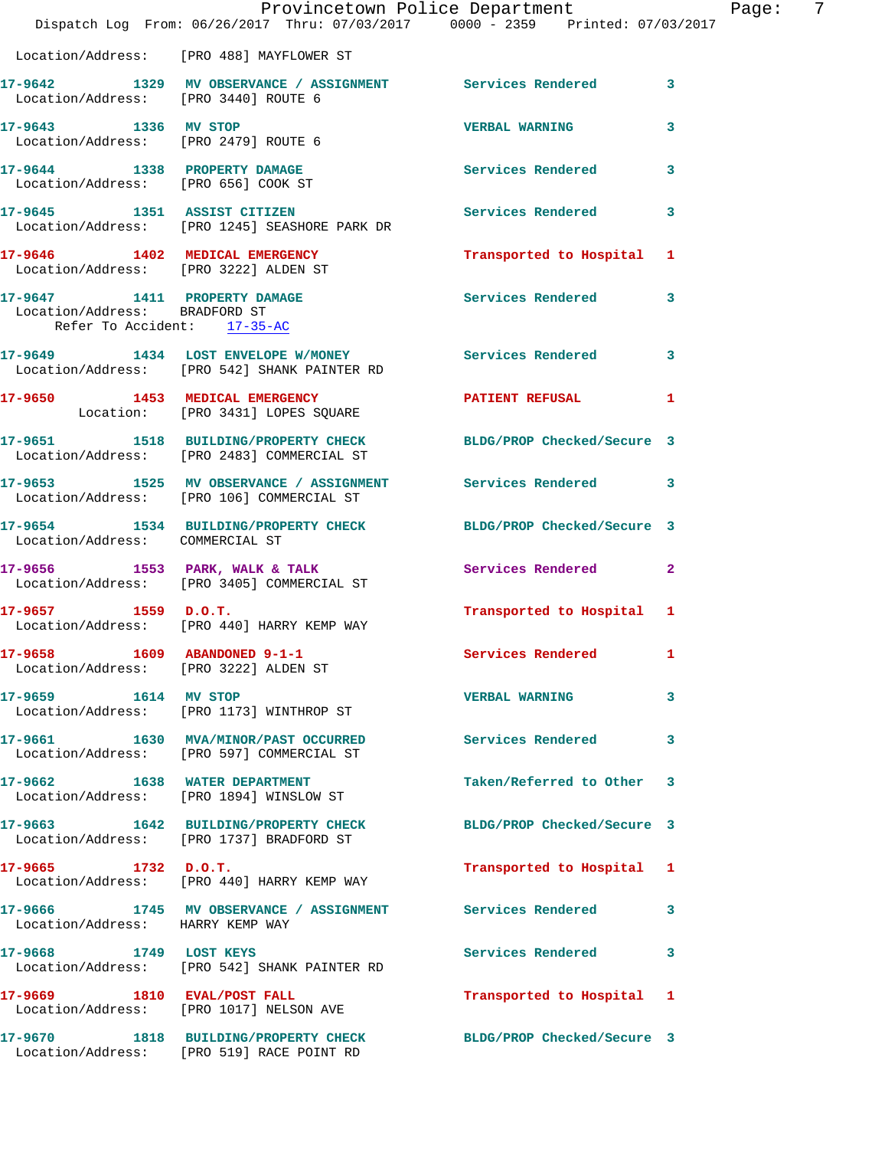|                                                                     | Provincetown Police Department Page: 7<br>Dispatch Log From: 06/26/2017 Thru: 07/03/2017 0000 - 2359 Printed: 07/03/2017 |                            |              |
|---------------------------------------------------------------------|--------------------------------------------------------------------------------------------------------------------------|----------------------------|--------------|
|                                                                     | Location/Address: [PRO 488] MAYFLOWER ST                                                                                 |                            |              |
|                                                                     | 17-9642 1329 MV OBSERVANCE / ASSIGNMENT Services Rendered 3<br>Location/Address: [PRO 3440] ROUTE 6                      |                            |              |
| Location/Address: [PRO 2479] ROUTE 6                                | 17-9643 1336 MV STOP                                                                                                     | <b>VERBAL WARNING</b> 3    |              |
| 17-9644 1338 PROPERTY DAMAGE<br>Location/Address: [PRO 656] COOK ST |                                                                                                                          | Services Rendered 3        |              |
|                                                                     | 17-9645 1351 ASSIST CITIZEN 2001 Services Rendered 3<br>Location/Address: [PRO 1245] SEASHORE PARK DR                    |                            |              |
|                                                                     | 17-9646 1402 MEDICAL EMERGENCY<br>Location/Address: [PRO 3222] ALDEN ST                                                  | Transported to Hospital 1  |              |
| Location/Address: BRADFORD ST<br>Refer To Accident: 17-35-AC        | 17-9647 1411 PROPERTY DAMAGE Services Rendered 3                                                                         |                            |              |
|                                                                     | 17-9649 1434 LOST ENVELOPE W/MONEY Services Rendered 3<br>Location/Address: [PRO 542] SHANK PAINTER RD                   |                            |              |
|                                                                     | 17-9650 1453 MEDICAL EMERGENCY PATIENT REFUSAL 1<br>Location: [PRO 3431] LOPES SQUARE                                    |                            |              |
|                                                                     | 17-9651 1518 BUILDING/PROPERTY CHECK BLDG/PROP Checked/Secure 3<br>Location/Address: [PRO 2483] COMMERCIAL ST            |                            |              |
|                                                                     | 17-9653 1525 MV OBSERVANCE / ASSIGNMENT Services Rendered 3<br>Location/Address: [PRO 106] COMMERCIAL ST                 |                            |              |
| Location/Address: COMMERCIAL ST                                     | 17-9654 1534 BUILDING/PROPERTY CHECK BLDG/PROP Checked/Secure 3                                                          |                            |              |
|                                                                     | 17-9656 1553 PARK, WALK & TALK (Services Rendered 2)<br>Location/Address: [PRO 3405] COMMERCIAL ST                       |                            |              |
| $17-9657$ 1559 D.O.T.                                               | Location/Address: [PRO 440] HARRY KEMP WAY                                                                               | Transported to Hospital 1  |              |
| 17-9658 1609 ABANDONED 9-1-1                                        | Location/Address: [PRO 3222] ALDEN ST                                                                                    | Services Rendered 1        |              |
| 17-9659 1614 MV STOP                                                | Location/Address: [PRO 1173] WINTHROP ST                                                                                 | VERBAL WARNING 3           |              |
|                                                                     | 17-9661 1630 MVA/MINOR/PAST OCCURRED Services Rendered 3<br>Location/Address: [PRO 597] COMMERCIAL ST                    |                            |              |
|                                                                     | 17-9662 1638 WATER DEPARTMENT<br>Location/Address: [PRO 1894] WINSLOW ST                                                 | Taken/Referred to Other 3  |              |
|                                                                     | 17-9663 1642 BUILDING/PROPERTY CHECK<br>Location/Address: [PRO 1737] BRADFORD ST                                         | BLDG/PROP Checked/Secure 3 |              |
| $17-9665$ 1732 D.O.T.                                               | Location/Address: [PRO 440] HARRY KEMP WAY                                                                               | Transported to Hospital 1  |              |
| Location/Address: HARRY KEMP WAY                                    | 17-9666 1745 MV OBSERVANCE / ASSIGNMENT Services Rendered                                                                |                            | $\mathbf{3}$ |
| 17-9668 1749 LOST KEYS                                              | Location/Address: [PRO 542] SHANK PAINTER RD                                                                             | Services Rendered 3        |              |
|                                                                     | 17-9669 1810 EVAL/POST FALL<br>Location/Address: [PRO 1017] NELSON AVE                                                   | Transported to Hospital 1  |              |
|                                                                     | 17-9670 1818 BUILDING/PROPERTY CHECK<br>Location/Address: [PRO 519] RACE POINT RD                                        | BLDG/PROP Checked/Secure 3 |              |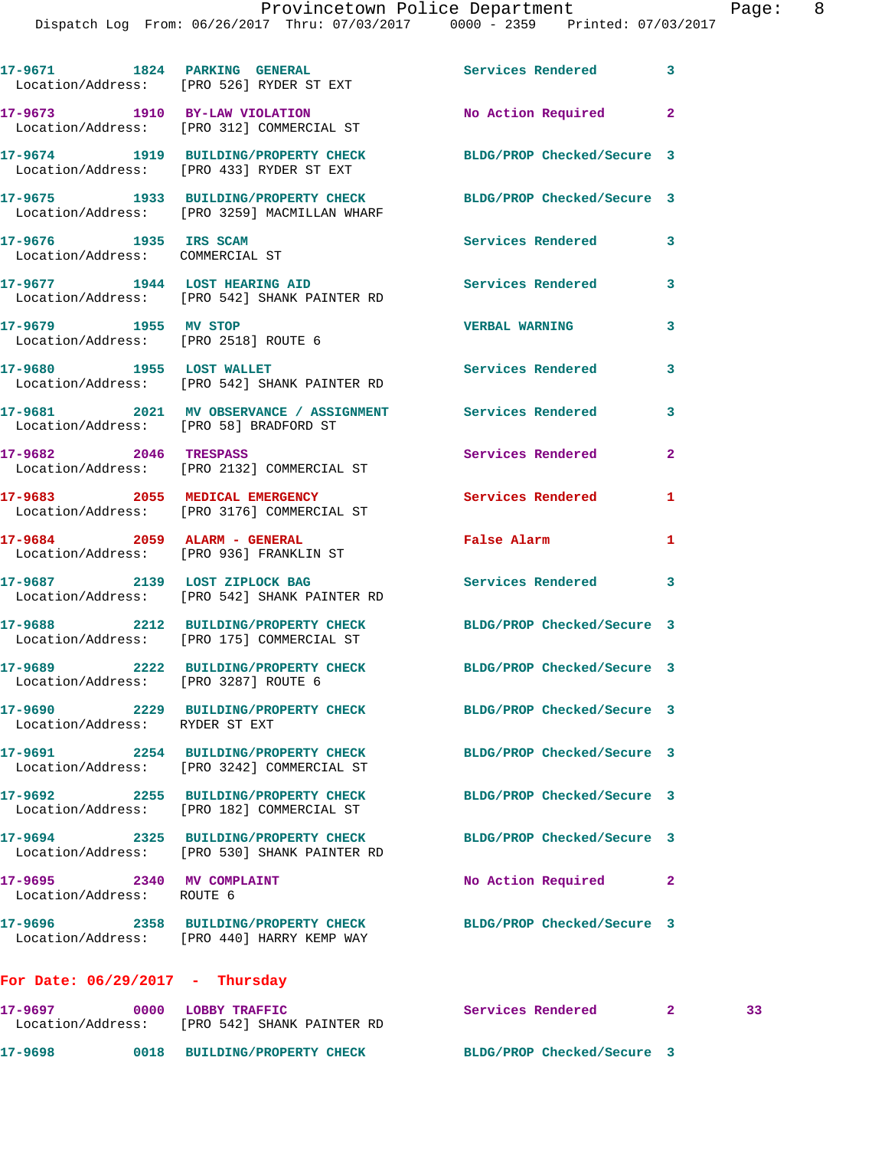|                                                              | 17-9671 1824 PARKING GENERAL 17-9671 Services Rendered 3<br>Location/Address: [PRO 526] RYDER ST EXT        |                              |              |    |
|--------------------------------------------------------------|-------------------------------------------------------------------------------------------------------------|------------------------------|--------------|----|
|                                                              | 17-9673 1910 BY-LAW VIOLATION<br>Location/Address: [PRO 312] COMMERCIAL ST                                  | No Action Required 2         |              |    |
|                                                              | 17-9674 1919 BUILDING/PROPERTY CHECK BLDG/PROP Checked/Secure 3<br>Location/Address: [PRO 433] RYDER ST EXT |                              |              |    |
|                                                              | 17-9675 1933 BUILDING/PROPERTY CHECK<br>Location/Address: [PRO 3259] MACMILLAN WHARF                        | BLDG/PROP Checked/Secure 3   |              |    |
| 17-9676 1935 IRS SCAM<br>Location/Address: COMMERCIAL ST     |                                                                                                             | Services Rendered            | 3            |    |
|                                                              | 17-9677 1944 LOST HEARING AID<br>Location/Address: [PRO 542] SHANK PAINTER RD                               | Services Rendered 3          |              |    |
| 17-9679 1955 MV STOP<br>Location/Address: [PRO 2518] ROUTE 6 |                                                                                                             | <b>VERBAL WARNING</b>        | 3            |    |
| 17-9680 1955 LOST WALLET                                     | Location/Address: [PRO 542] SHANK PAINTER RD                                                                | <b>Services Rendered</b>     | 3            |    |
|                                                              | 17-9681 2021 MV OBSERVANCE / ASSIGNMENT Services Rendered<br>Location/Address: [PRO 58] BRADFORD ST         |                              | 3            |    |
| 17-9682 2046 TRESPASS                                        | Location/Address: [PRO 2132] COMMERCIAL ST                                                                  | Services Rendered            | $\mathbf{2}$ |    |
|                                                              | 17-9683 2055 MEDICAL EMERGENCY<br>Location/Address: [PRO 3176] COMMERCIAL ST                                | <b>Services Rendered</b>     | 1            |    |
|                                                              | 17-9684 2059 ALARM - GENERAL<br>Location/Address: [PRO 936] FRANKLIN ST                                     | False Alarm <b>Example 2</b> | 1            |    |
|                                                              | 17-9687 2139 LOST ZIPLOCK BAG<br>Location/Address: [PRO 542] SHANK PAINTER RD                               | Services Rendered 3          |              |    |
|                                                              | 17-9688 2212 BUILDING/PROPERTY CHECK<br>Location/Address: [PRO 175] COMMERCIAL ST                           | BLDG/PROP Checked/Secure 3   |              |    |
| Location/Address: [PRO 3287] ROUTE 6                         | 17-9689 2222 BUILDING/PROPERTY CHECK BLDG/PROP Checked/Secure 3                                             |                              |              |    |
| Location/Address: RYDER ST EXT                               | 17-9690 2229 BUILDING/PROPERTY CHECK BLDG/PROP Checked/Secure 3                                             |                              |              |    |
|                                                              | 17-9691 2254 BUILDING/PROPERTY CHECK<br>Location/Address: [PRO 3242] COMMERCIAL ST                          | BLDG/PROP Checked/Secure 3   |              |    |
|                                                              | 17-9692 2255 BUILDING/PROPERTY CHECK<br>Location/Address: [PRO 182] COMMERCIAL ST                           | BLDG/PROP Checked/Secure 3   |              |    |
|                                                              | 17-9694 2325 BUILDING/PROPERTY CHECK<br>Location/Address: [PRO 530] SHANK PAINTER RD                        | BLDG/PROP Checked/Secure 3   |              |    |
| 17-9695 2340 MV COMPLAINT<br>Location/Address: ROUTE 6       |                                                                                                             | No Action Required           | 2            |    |
|                                                              | 17-9696 2358 BUILDING/PROPERTY CHECK<br>Location/Address: [PRO 440] HARRY KEMP WAY                          | BLDG/PROP Checked/Secure 3   |              |    |
| For Date: $06/29/2017$ - Thursday                            |                                                                                                             |                              |              |    |
| 17-9697 0000 LOBBY TRAFFIC                                   |                                                                                                             | Services Rendered 2          |              | 33 |

**17-9698 0018 BUILDING/PROPERTY CHECK BLDG/PROP Checked/Secure 3** 

Location/Address: [PRO 542] SHANK PAINTER RD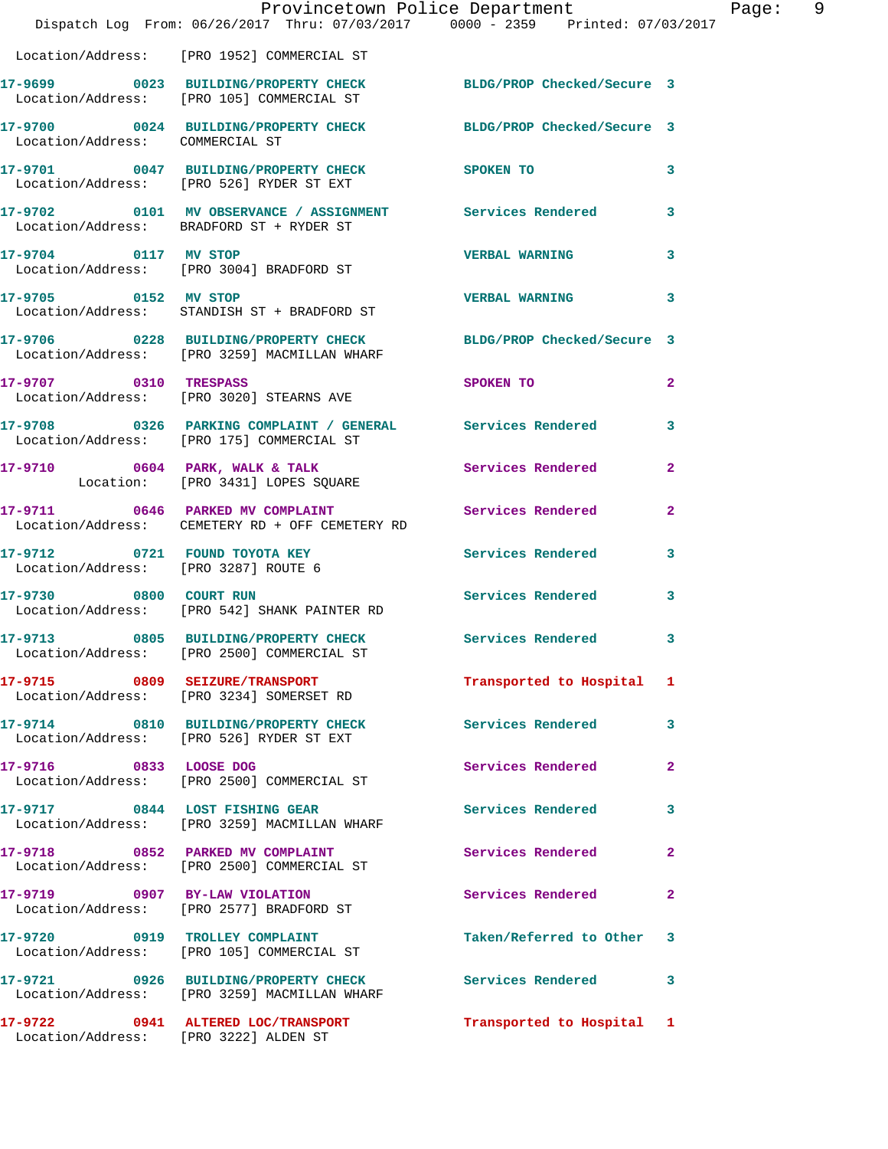|                                       | Dispatch Log From: 06/26/2017 Thru: 07/03/2017 0000 - 2359 Printed: 07/03/2017                                  | Provincetown Police Department | Page: 9        |  |
|---------------------------------------|-----------------------------------------------------------------------------------------------------------------|--------------------------------|----------------|--|
|                                       | Location/Address: [PRO 1952] COMMERCIAL ST                                                                      |                                |                |  |
|                                       | 17-9699 0023 BUILDING/PROPERTY CHECK BLDG/PROP Checked/Secure 3<br>Location/Address: [PRO 105] COMMERCIAL ST    |                                |                |  |
| Location/Address: COMMERCIAL ST       | 17-9700 0024 BUILDING/PROPERTY CHECK BLDG/PROP Checked/Secure 3                                                 |                                |                |  |
|                                       | 17-9701 0047 BUILDING/PROPERTY CHECK SPOKEN TO<br>Location/Address: [PRO 526] RYDER ST EXT                      |                                | 3              |  |
|                                       | 17-9702 0101 MV OBSERVANCE / ASSIGNMENT Services Rendered 3<br>Location/Address: BRADFORD ST + RYDER ST         |                                |                |  |
| 17-9704 0117 MV STOP                  | Location/Address: [PRO 3004] BRADFORD ST                                                                        | <b>VERBAL WARNING</b>          | $\mathbf{3}$   |  |
|                                       | 17-9705 0152 MV STOP<br>Location/Address: STANDISH ST + BRADFORD ST                                             | <b>VERBAL WARNING</b>          | 3              |  |
|                                       | 17-9706 0228 BUILDING/PROPERTY CHECK BLDG/PROP Checked/Secure 3<br>Location/Address: [PRO 3259] MACMILLAN WHARF |                                |                |  |
|                                       | 17-9707 0310 TRESPASS<br>Location/Address: [PRO 3020] STEARNS AVE                                               | SPOKEN TO                      | $\mathbf{2}$   |  |
|                                       | 17-9708 0326 PARKING COMPLAINT / GENERAL Services Rendered 3<br>Location/Address: [PRO 175] COMMERCIAL ST       |                                |                |  |
|                                       | 17-9710 0604 PARK, WALK & TALK<br>Location: [PRO 3431] LOPES SQUARE                                             | Services Rendered              | $\mathbf{2}$   |  |
|                                       | 17-9711 0646 PARKED MV COMPLAINT<br>Location/Address: CEMETERY RD + OFF CEMETERY RD                             | Services Rendered              | $\mathbf{2}$   |  |
| Location/Address: [PRO 3287] ROUTE 6  | 17-9712 0721 FOUND TOYOTA KEY                                                                                   | Services Rendered              | $\mathbf{3}$   |  |
|                                       | 17-9730 0800 COURT RUN<br>Location/Address: [PRO 542] SHANK PAINTER RD                                          | <b>Services Rendered</b>       | 3              |  |
|                                       | 17-9713 0805 BUILDING/PROPERTY CHECK Services Rendered 3<br>Location/Address: [PRO 2500] COMMERCIAL ST          |                                |                |  |
|                                       | 17-9715 0809 SEIZURE/TRANSPORT<br>Location/Address: [PRO 3234] SOMERSET RD                                      | Transported to Hospital 1      |                |  |
|                                       | 17-9714 0810 BUILDING/PROPERTY CHECK Services Rendered 3<br>Location/Address: [PRO 526] RYDER ST EXT            |                                |                |  |
| 17-9716 0833 LOOSE DOG                | Location/Address: [PRO 2500] COMMERCIAL ST                                                                      | Services Rendered              | $\overline{2}$ |  |
|                                       | 17-9717 0844 LOST FISHING GEAR<br>Location/Address: [PRO 3259] MACMILLAN WHARF                                  | Services Rendered              | $\mathbf{3}$   |  |
|                                       | 17-9718 0852 PARKED MV COMPLAINT<br>Location/Address: [PRO 2500] COMMERCIAL ST                                  | Services Rendered              | $\mathbf{2}$   |  |
|                                       | 17-9719 0907 BY-LAW VIOLATION<br>Location/Address: [PRO 2577] BRADFORD ST                                       | Services Rendered              | $\mathbf{2}$   |  |
|                                       | 17-9720 0919 TROLLEY COMPLAINT<br>Location/Address: [PRO 105] COMMERCIAL ST                                     | Taken/Referred to Other 3      |                |  |
|                                       | 17-9721 0926 BUILDING/PROPERTY CHECK<br>Location/Address: [PRO 3259] MACMILLAN WHARF                            | Services Rendered 3            |                |  |
| Location/Address: [PRO 3222] ALDEN ST | 17-9722 0941 ALTERED LOC/TRANSPORT                                                                              | Transported to Hospital 1      |                |  |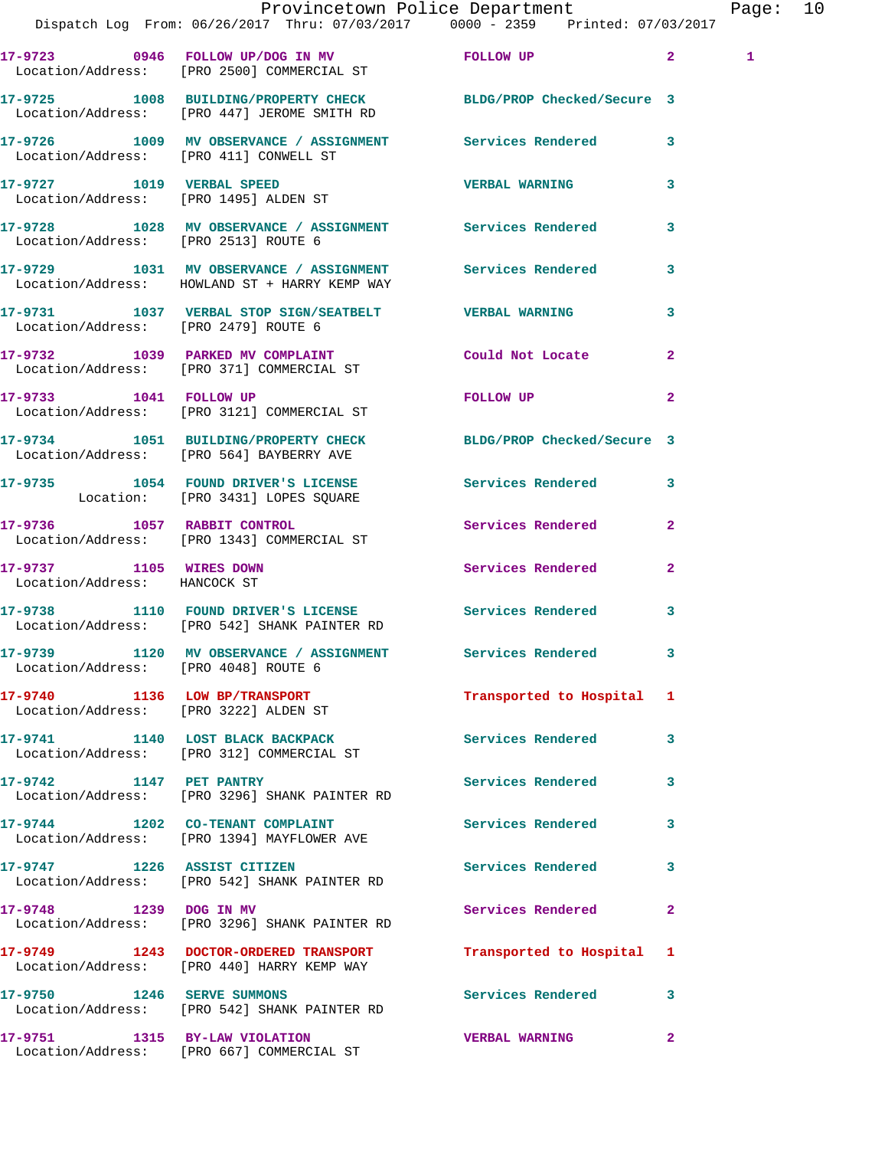|                                                         |                                                                                     | Provincetown Police Department<br>Dispatch Log From: 06/26/2017 Thru: 07/03/2017 0000 - 2359 Printed: 07/03/2017                                                                                                                                | Page: 10     |  |
|---------------------------------------------------------|-------------------------------------------------------------------------------------|-------------------------------------------------------------------------------------------------------------------------------------------------------------------------------------------------------------------------------------------------|--------------|--|
|                                                         | Location/Address: [PRO 2500] COMMERCIAL ST                                          | 17-9723 0946 FOLLOW UP/DOG IN MV FOLLOW UP 2                                                                                                                                                                                                    | $\mathbf{1}$ |  |
|                                                         | Location/Address: [PRO 447] JEROME SMITH RD                                         | 17-9725 1008 BUILDING/PROPERTY CHECK BLDG/PROP Checked/Secure 3                                                                                                                                                                                 |              |  |
|                                                         |                                                                                     | 17-9726 1009 MV OBSERVANCE / ASSIGNMENT Services Rendered 3<br>Location/Address: [PRO 411] CONWELL ST                                                                                                                                           |              |  |
|                                                         | 17-9727 1019 VERBAL SPEED<br>Location/Address: [PRO 1495] ALDEN ST                  | <b>VERBAL WARNING</b><br>3                                                                                                                                                                                                                      |              |  |
| Location/Address: [PRO 2513] ROUTE 6                    |                                                                                     | 17-9728 1028 MV OBSERVANCE / ASSIGNMENT Services Rendered 3                                                                                                                                                                                     |              |  |
|                                                         | Location/Address: HOWLAND ST + HARRY KEMP WAY                                       | 17-9729 1031 MV OBSERVANCE / ASSIGNMENT Services Rendered 3                                                                                                                                                                                     |              |  |
| Location/Address: [PRO 2479] ROUTE 6                    |                                                                                     | 17-9731 1037 VERBAL STOP SIGN/SEATBELT VERBAL WARNING<br>$\mathbf{3}$                                                                                                                                                                           |              |  |
|                                                         | Location/Address: [PRO 371] COMMERCIAL ST                                           | 17-9732 1039 PARKED MV COMPLAINT Could Not Locate<br>$\overline{2}$                                                                                                                                                                             |              |  |
| 17-9733 1041 FOLLOW UP                                  | Location/Address: [PRO 3121] COMMERCIAL ST                                          | FOLLOW UP AND THE STATE OF THE STATE OF THE STATE OF THE STATE OF THE STATE OF THE STATE OF THE STATE OF THE STATE OF THE STATE OF THE STATE OF THE STATE OF THE STATE OF THE STATE OF THE STATE OF THE STATE OF THE STATE OF<br>$\overline{2}$ |              |  |
|                                                         | Location/Address: [PRO 564] BAYBERRY AVE                                            | 17-9734 1051 BUILDING/PROPERTY CHECK BLDG/PROP Checked/Secure 3                                                                                                                                                                                 |              |  |
|                                                         | Location: [PRO 3431] LOPES SQUARE                                                   | 17-9735 1054 FOUND DRIVER'S LICENSE Services Rendered 3                                                                                                                                                                                         |              |  |
|                                                         | 17-9736 1057 RABBIT CONTROL<br>Location/Address: [PRO 1343] COMMERCIAL ST           | Services Rendered 2                                                                                                                                                                                                                             |              |  |
| 17-9737 1105 WIRES DOWN<br>Location/Address: HANCOCK ST |                                                                                     | Services Rendered<br>$\mathbf{2}$                                                                                                                                                                                                               |              |  |
|                                                         | Location/Address: [PRO 542] SHANK PAINTER RD                                        | 17-9738 1110 FOUND DRIVER'S LICENSE Services Rendered 3                                                                                                                                                                                         |              |  |
| Location/Address: [PRO 4048] ROUTE 6                    | 17-9739 1120 MV OBSERVANCE / ASSIGNMENT Services Rendered                           |                                                                                                                                                                                                                                                 |              |  |
|                                                         | 17-9740 1136 LOW BP/TRANSPORT<br>Location/Address: [PRO 3222] ALDEN ST              | Transported to Hospital 1                                                                                                                                                                                                                       |              |  |
|                                                         | 17-9741 1140 LOST BLACK BACKPACK<br>Location/Address: [PRO 312] COMMERCIAL ST       | <b>Services Rendered</b> 3                                                                                                                                                                                                                      |              |  |
|                                                         | 17-9742 1147 PET PANTRY<br>Location/Address: [PRO 3296] SHANK PAINTER RD            | Services Rendered<br>3                                                                                                                                                                                                                          |              |  |
|                                                         | Location/Address: [PRO 1394] MAYFLOWER AVE                                          | 17-9744 1202 CO-TENANT COMPLAINT Number of Services Rendered 3                                                                                                                                                                                  |              |  |
|                                                         | 17-9747 1226 ASSIST CITIZEN<br>Location/Address: [PRO 542] SHANK PAINTER RD         | Services Rendered<br>3                                                                                                                                                                                                                          |              |  |
| 17-9748 1239 DOG IN MV                                  | Location/Address: [PRO 3296] SHANK PAINTER RD                                       | Services Rendered<br>$\mathbf{2}$                                                                                                                                                                                                               |              |  |
|                                                         | 17-9749 1243 DOCTOR-ORDERED TRANSPORT<br>Location/Address: [PRO 440] HARRY KEMP WAY | Transported to Hospital 1                                                                                                                                                                                                                       |              |  |
| 17-9750 1246 SERVE SUMMONS                              | Location/Address: [PRO 542] SHANK PAINTER RD                                        | Services Rendered 3                                                                                                                                                                                                                             |              |  |
|                                                         | 17-9751 1315 BY-LAW VIOLATION<br>Location/Address: [PRO 667] COMMERCIAL ST          | <b>VERBAL WARNING</b><br>$\mathbf{2}$                                                                                                                                                                                                           |              |  |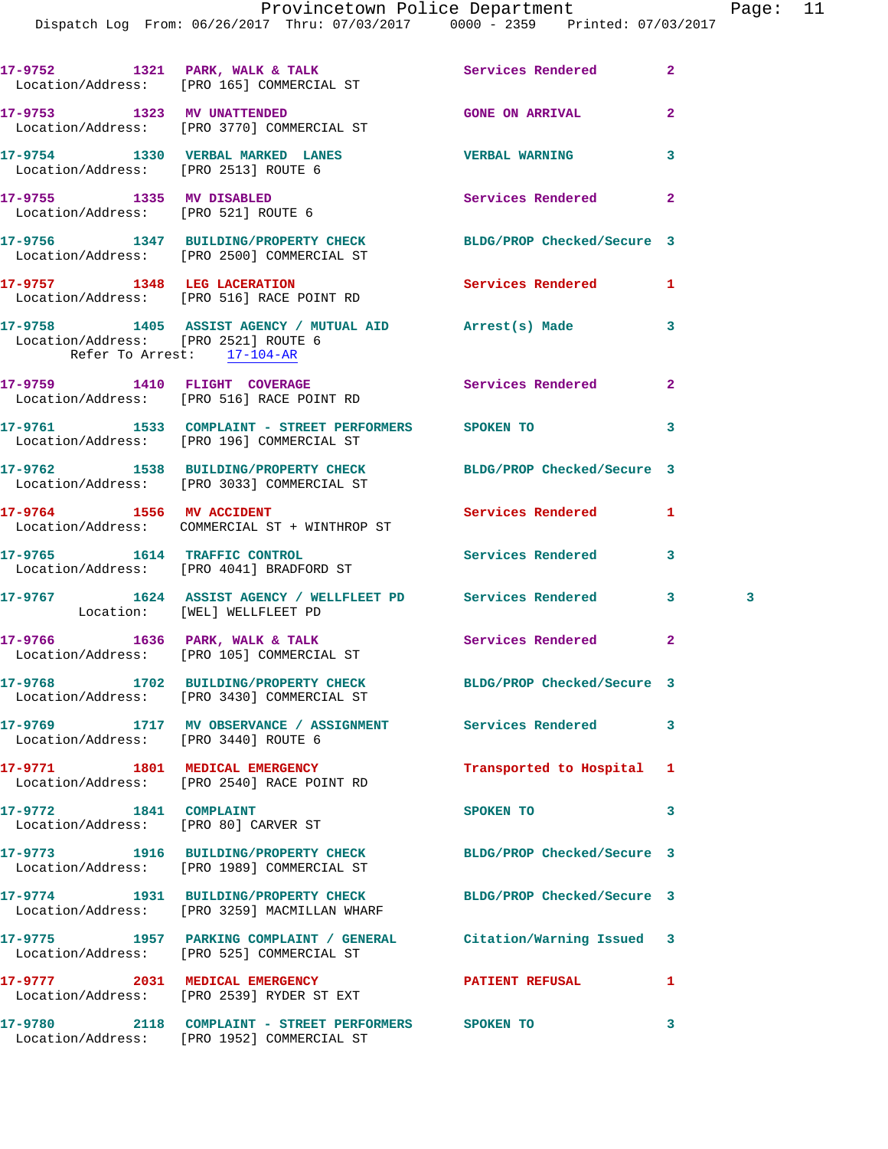|                                                                    | 17-9752 1321 PARK, WALK & TALK<br>Location/Address: [PRO 165] COMMERCIAL ST                                     | Services Rendered          | $\mathbf{2}$   |
|--------------------------------------------------------------------|-----------------------------------------------------------------------------------------------------------------|----------------------------|----------------|
| 17-9753 1323 MV UNATTENDED                                         | Location/Address: [PRO 3770] COMMERCIAL ST                                                                      | <b>GONE ON ARRIVAL</b>     | $\overline{a}$ |
| Location/Address: [PRO 2513] ROUTE 6                               | 17-9754 1330 VERBAL MARKED LANES                                                                                | <b>VERBAL WARNING</b>      | 3              |
| 17-9755 1335 MV DISABLED<br>Location/Address: [PRO 521] ROUTE 6    |                                                                                                                 | Services Rendered          | $\overline{a}$ |
|                                                                    | 17-9756 1347 BUILDING/PROPERTY CHECK BLDG/PROP Checked/Secure 3<br>Location/Address: [PRO 2500] COMMERCIAL ST   |                            |                |
|                                                                    | 17-9757 1348 LEG LACERATION<br>Location/Address: [PRO 516] RACE POINT RD                                        | Services Rendered          | 1              |
| Location/Address: [PRO 2521] ROUTE 6<br>Refer To Arrest: 17-104-AR | 17-9758 1405 ASSIST AGENCY / MUTUAL AID Arrest(s) Made                                                          |                            | 3              |
|                                                                    | 17-9759 1410 FLIGHT COVERAGE<br>Location/Address: [PRO 516] RACE POINT RD                                       | Services Rendered          | $\mathbf{2}$   |
|                                                                    | 17-9761 1533 COMPLAINT - STREET PERFORMERS SPOKEN TO<br>Location/Address: [PRO 196] COMMERCIAL ST               |                            | 3              |
|                                                                    | 17-9762 1538 BUILDING/PROPERTY CHECK BLDG/PROP Checked/Secure 3<br>Location/Address: [PRO 3033] COMMERCIAL ST   |                            |                |
|                                                                    | 17-9764 1556 MV ACCIDENT<br>Location/Address: COMMERCIAL ST + WINTHROP ST                                       | <b>Services Rendered</b>   | 1              |
|                                                                    | 17-9765 1614 TRAFFIC CONTROL<br>Location/Address: [PRO 4041] BRADFORD ST                                        | Services Rendered          | 3              |
| Location: [WEL] WELLFLEET PD                                       | 17-9767 1624 ASSIST AGENCY / WELLFLEET PD Services Rendered                                                     |                            | 3<br>3         |
|                                                                    | 17-9766 1636 PARK, WALK & TALK<br>Location/Address: [PRO 105] COMMERCIAL ST                                     | Services Rendered          | $\mathbf{2}$   |
|                                                                    | 17-9768 1702 BUILDING/PROPERTY CHECK<br>Location/Address: [PRO 3430] COMMERCIAL ST                              | BLDG/PROP Checked/Secure 3 |                |
| Location/Address: [PRO 3440] ROUTE 6                               | 17-9769 1717 MV OBSERVANCE / ASSIGNMENT Services Rendered                                                       |                            | 3              |
|                                                                    | 17-9771 1801 MEDICAL EMERGENCY<br>Location/Address: [PRO 2540] RACE POINT RD                                    | Transported to Hospital 1  |                |
| 17-9772 1841 COMPLAINT<br>Location/Address: [PRO 80] CARVER ST     |                                                                                                                 | SPOKEN TO                  | 3              |
|                                                                    | 17-9773 1916 BUILDING/PROPERTY CHECK BLDG/PROP Checked/Secure 3<br>Location/Address: [PRO 1989] COMMERCIAL ST   |                            |                |
|                                                                    | 17-9774 1931 BUILDING/PROPERTY CHECK BLDG/PROP Checked/Secure 3<br>Location/Address: [PRO 3259] MACMILLAN WHARF |                            |                |
|                                                                    | 17-9775 1957 PARKING COMPLAINT / GENERAL Citation/Warning Issued 3<br>Location/Address: [PRO 525] COMMERCIAL ST |                            |                |
|                                                                    | 17-9777 2031 MEDICAL EMERGENCY<br>Location/Address: [PRO 2539] RYDER ST EXT                                     | <b>PATIENT REFUSAL</b>     | 1              |
|                                                                    | 17-9780 2118 COMPLAINT - STREET PERFORMERS SPOKEN TO                                                            |                            | 3              |

Location/Address: [PRO 1952] COMMERCIAL ST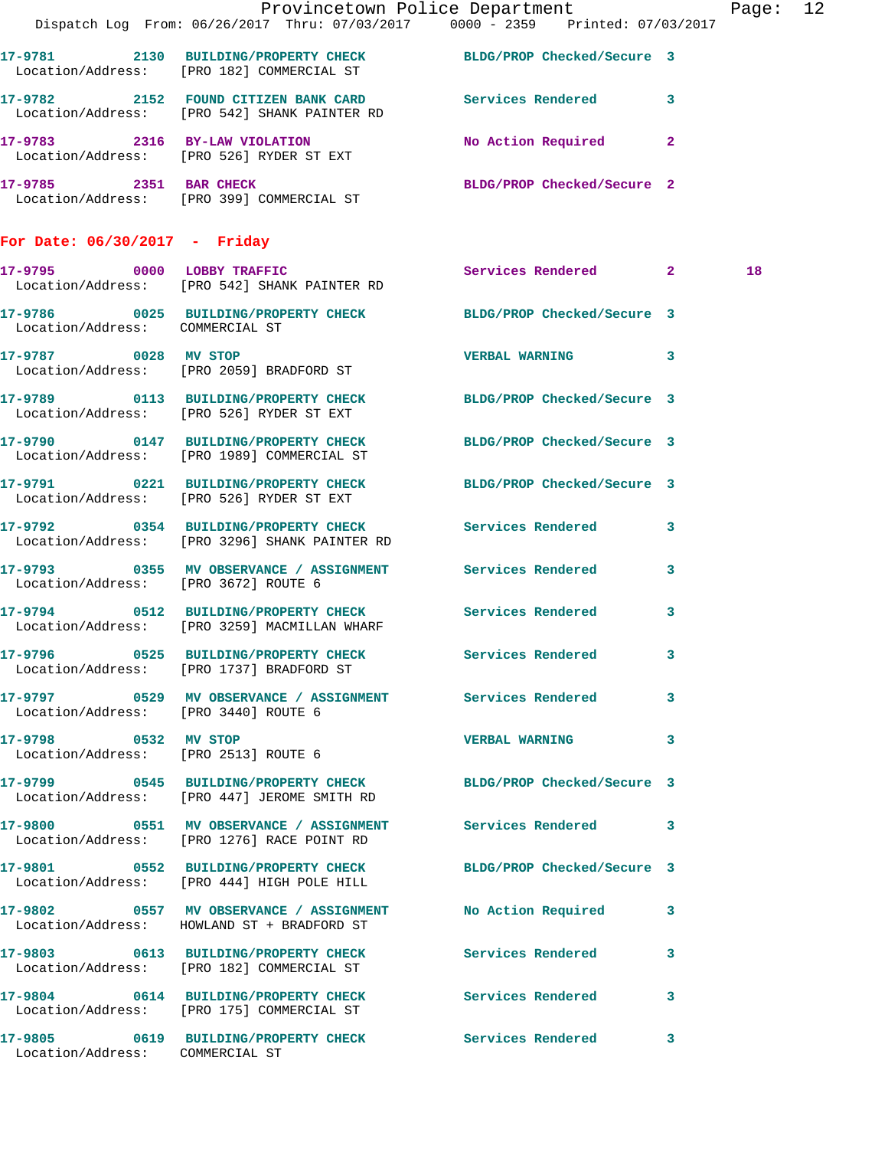|                                      | Provincetown Police Department Page: 12<br>Dispatch Log From: 06/26/2017 Thru: 07/03/2017 0000 - 2359 Printed: 07/03/2017 |                            |                         |    |  |
|--------------------------------------|---------------------------------------------------------------------------------------------------------------------------|----------------------------|-------------------------|----|--|
|                                      | 17-9781 2130 BUILDING/PROPERTY CHECK BLDG/PROP Checked/Secure 3<br>Location/Address: [PRO 182] COMMERCIAL ST              |                            |                         |    |  |
|                                      | 17-9782 2152 FOUND CITIZEN BANK CARD Services Rendered 3<br>Location/Address: [PRO 542] SHANK PAINTER RD                  |                            |                         |    |  |
|                                      | 17-9783 2316 BY-LAW VIOLATION<br>Location/Address: [PRO 526] RYDER ST EXT                                                 | No Action Required 2       |                         |    |  |
|                                      | 17-9785 2351 BAR CHECK<br>Location/Address: [PRO 399] COMMERCIAL ST                                                       | BLDG/PROP Checked/Secure 2 |                         |    |  |
| For Date: $06/30/2017$ - Friday      |                                                                                                                           |                            |                         |    |  |
|                                      | 17-9795 0000 LOBBY TRAFFIC<br>Location/Address: [PRO 542] SHANK PAINTER RD                                                | Services Rendered 2        |                         | 18 |  |
|                                      | 17-9786 0025 BUILDING/PROPERTY CHECK BLDG/PROP Checked/Secure 3<br>Location/Address: COMMERCIAL ST                        |                            |                         |    |  |
|                                      | 17-9787 0028 MV STOP<br>Location/Address: [PRO 2059] BRADFORD ST                                                          | VERBAL WARNING 3           |                         |    |  |
|                                      | 17-9789 0113 BUILDING/PROPERTY CHECK BLDG/PROP Checked/Secure 3<br>Location/Address: [PRO 526] RYDER ST EXT               |                            |                         |    |  |
|                                      | 17-9790 0147 BUILDING/PROPERTY CHECK BLDG/PROP Checked/Secure 3<br>Location/Address: [PRO 1989] COMMERCIAL ST             |                            |                         |    |  |
|                                      | 17-9791 0221 BUILDING/PROPERTY CHECK BLDG/PROP Checked/Secure 3<br>Location/Address: [PRO 526] RYDER ST EXT               |                            |                         |    |  |
|                                      | 17-9792 0354 BUILDING/PROPERTY CHECK Services Rendered 3<br>Location/Address: [PRO 3296] SHANK PAINTER RD                 |                            |                         |    |  |
| Location/Address: [PRO 3672] ROUTE 6 | 17-9793 0355 MV OBSERVANCE / ASSIGNMENT Services Rendered 3                                                               |                            |                         |    |  |
|                                      | 17-9794 0512 BUILDING/PROPERTY CHECK Services Rendered<br>Location/Address: [PRO 3259] MACMILLAN WHARF                    |                            | $\overline{\mathbf{3}}$ |    |  |
|                                      | 17-9796 0525 BUILDING/PROPERTY CHECK<br>Location/Address: [PRO 1737] BRADFORD ST                                          | Services Rendered          | $\overline{\mathbf{3}}$ |    |  |
| Location/Address: [PRO 3440] ROUTE 6 | 17-9797 0529 MV OBSERVANCE / ASSIGNMENT Services Rendered 3                                                               |                            |                         |    |  |
| 17-9798 0532 MV STOP                 | Location/Address: [PRO 2513] ROUTE 6                                                                                      | VERBAL WARNING 3           |                         |    |  |
|                                      | 17-9799 		 0545 BUILDING/PROPERTY CHECK 		BLDG/PROP Checked/Secure 3<br>Location/Address: [PRO 447] JEROME SMITH RD       |                            |                         |    |  |
|                                      | 17-9800 0551 MV OBSERVANCE / ASSIGNMENT Services Rendered 3<br>Location/Address: [PRO 1276] RACE POINT RD                 |                            |                         |    |  |
|                                      | 17-9801 0552 BUILDING/PROPERTY CHECK BLDG/PROP Checked/Secure 3<br>Location/Address: [PRO 444] HIGH POLE HILL             |                            |                         |    |  |
|                                      | 17-9802 0557 MV OBSERVANCE / ASSIGNMENT No Action Required 3<br>Location/Address: HOWLAND ST + BRADFORD ST                |                            |                         |    |  |
|                                      | 17-9803 0613 BUILDING/PROPERTY CHECK Services Rendered 3<br>Location/Address: [PRO 182] COMMERCIAL ST                     |                            |                         |    |  |
|                                      | 17-9804 0614 BUILDING/PROPERTY CHECK Services Rendered 3<br>Location/Address: [PRO 175] COMMERCIAL ST                     |                            |                         |    |  |
| Location/Address: COMMERCIAL ST      | 17-9805 0619 BUILDING/PROPERTY CHECK Services Rendered 3                                                                  |                            |                         |    |  |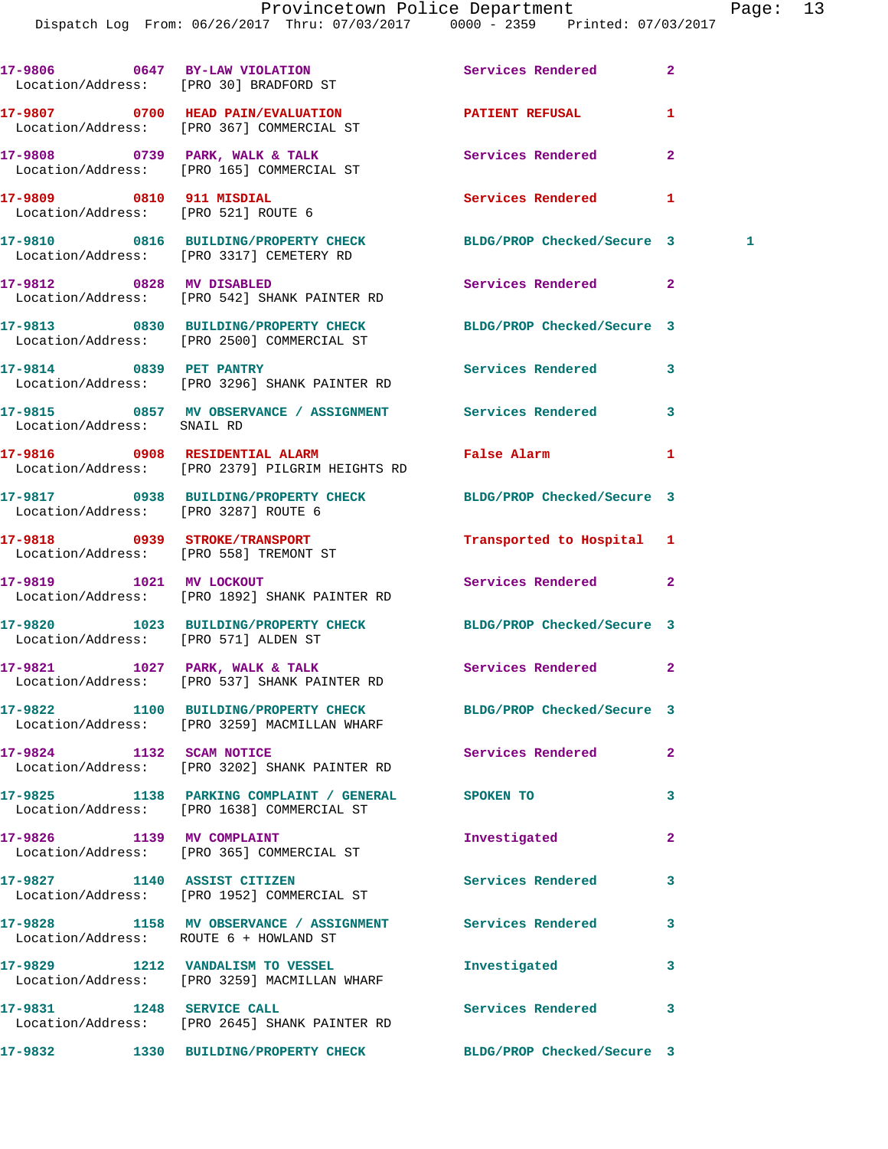|                                        | 17-9806 0647 BY-LAW VIOLATION<br>Location/Address: [PRO 30] BRADFORD ST                                       | Services Rendered          | $\overline{a}$ |
|----------------------------------------|---------------------------------------------------------------------------------------------------------------|----------------------------|----------------|
|                                        | 17-9807 0700 HEAD PAIN/EVALUATION DATIENT REFUSAL<br>Location/Address: [PRO 367] COMMERCIAL ST                |                            | 1              |
|                                        | 17-9808 0739 PARK, WALK & TALK<br>Location/Address: [PRO 165] COMMERCIAL ST                                   | Services Rendered          | $\overline{a}$ |
| 17-9809 0810 911 MISDIAL               | Location/Address: [PRO 521] ROUTE 6                                                                           | <b>Services Rendered</b>   | 1              |
|                                        | 17-9810 0816 BUILDING/PROPERTY CHECK BLDG/PROP Checked/Secure 3<br>Location/Address: [PRO 3317] CEMETERY RD   |                            | $\mathbf{1}$   |
|                                        | 17-9812 0828 MV DISABLED<br>Location/Address: [PRO 542] SHANK PAINTER RD                                      | Services Rendered          | $\mathbf{2}$   |
|                                        | 17-9813 0830 BUILDING/PROPERTY CHECK BLDG/PROP Checked/Secure 3<br>Location/Address: [PRO 2500] COMMERCIAL ST |                            |                |
|                                        | 17-9814 0839 PET PANTRY<br>Location/Address: [PRO 3296] SHANK PAINTER RD                                      | Services Rendered          | 3              |
| Location/Address: SNAIL RD             | 17-9815 0857 MV OBSERVANCE / ASSIGNMENT Services Rendered                                                     |                            | 3              |
|                                        | 17-9816 0908 RESIDENTIAL ALARM<br>Location/Address: [PRO 2379] PILGRIM HEIGHTS RD                             | False Alarm                | 1              |
| Location/Address: [PRO 3287] ROUTE 6   | 17-9817 0938 BUILDING/PROPERTY CHECK BLDG/PROP Checked/Secure 3                                               |                            |                |
|                                        | 17-9818 0939 STROKE/TRANSPORT<br>Location/Address: [PRO 558] TREMONT ST                                       | Transported to Hospital 1  |                |
|                                        | 17-9819 1021 MV LOCKOUT<br>Location/Address: [PRO 1892] SHANK PAINTER RD                                      | Services Rendered          | $\mathbf{2}$   |
| Location/Address: [PRO 571] ALDEN ST   | 17-9820 1023 BUILDING/PROPERTY CHECK BLDG/PROP Checked/Secure 3                                               |                            |                |
|                                        | 17-9821 1027 PARK, WALK & TALK<br>Location/Address: [PRO 537] SHANK PAINTER RD                                | <b>Services Rendered</b>   | $\mathbf{2}$   |
|                                        | 17-9822 1100 BUILDING/PROPERTY CHECK<br>Location/Address: [PRO 3259] MACMILLAN WHARF                          | BLDG/PROP Checked/Secure 3 |                |
| 17-9824 1132 SCAM NOTICE               | Location/Address: [PRO 3202] SHANK PAINTER RD                                                                 | Services Rendered          | $\overline{a}$ |
|                                        | 17-9825 1138 PARKING COMPLAINT / GENERAL SPOKEN TO<br>Location/Address: [PRO 1638] COMMERCIAL ST              |                            | 3              |
| 17-9826 1139 MV COMPLAINT              | Location/Address: [PRO 365] COMMERCIAL ST                                                                     | Investigated               | $\mathbf{2}$   |
|                                        | 17-9827 1140 ASSIST CITIZEN<br>Location/Address: [PRO 1952] COMMERCIAL ST                                     | <b>Services Rendered</b>   | 3              |
| Location/Address: ROUTE 6 + HOWLAND ST | 17-9828 1158 MV OBSERVANCE / ASSIGNMENT Services Rendered                                                     |                            | 3              |
|                                        | 17-9829 1212 VANDALISM TO VESSEL<br>Location/Address: [PRO 3259] MACMILLAN WHARF                              | Investigated               | 3              |
| 17-9831 1248 SERVICE CALL              | Location/Address: [PRO 2645] SHANK PAINTER RD                                                                 | Services Rendered          | 3              |
| 17-9832                                | 1330 BUILDING/PROPERTY CHECK BLDG/PROP Checked/Secure 3                                                       |                            |                |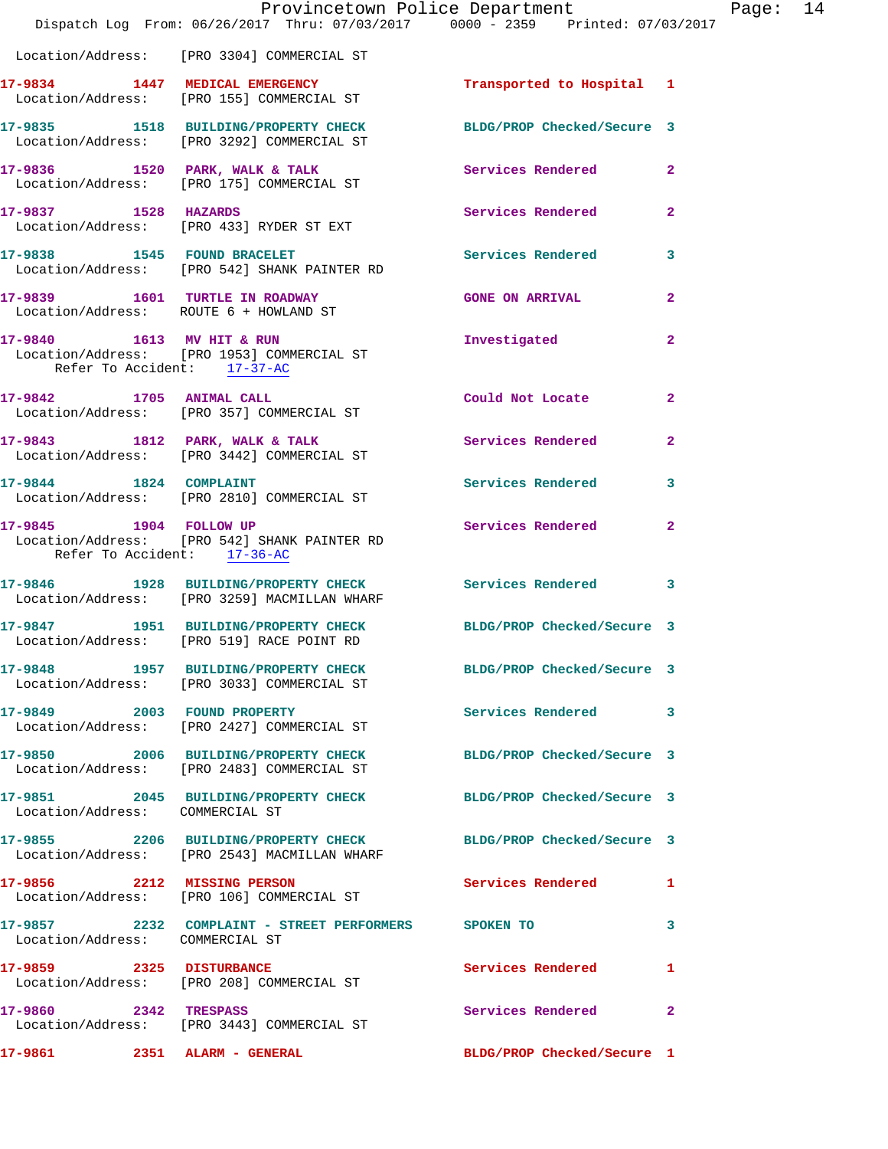|                                                                          | Provincetown Police Department<br>Dispatch Log From: 06/26/2017 Thru: 07/03/2017 0000 - 2359 Printed: 07/03/2017 |                            |                |
|--------------------------------------------------------------------------|------------------------------------------------------------------------------------------------------------------|----------------------------|----------------|
|                                                                          | Location/Address: [PRO 3304] COMMERCIAL ST                                                                       |                            |                |
|                                                                          | 17-9834 1447 MEDICAL EMERGENCY<br>Location/Address: [PRO 155] COMMERCIAL ST                                      | Transported to Hospital 1  |                |
|                                                                          | 17-9835 1518 BUILDING/PROPERTY CHECK BLDG/PROP Checked/Secure 3<br>Location/Address: [PRO 3292] COMMERCIAL ST    |                            |                |
|                                                                          | 17-9836 1520 PARK, WALK & TALK<br>Location/Address: [PRO 175] COMMERCIAL ST                                      | Services Rendered          | $\mathbf{2}$   |
| 17-9837 1528 HAZARDS                                                     | Location/Address: [PRO 433] RYDER ST EXT                                                                         | Services Rendered          | $\mathbf{2}$   |
|                                                                          | 17-9838 1545 FOUND BRACELET<br>Location/Address: [PRO 542] SHANK PAINTER RD                                      | <b>Services Rendered</b>   | 3              |
| 17-9839 1601 TURTLE IN ROADWAY<br>Location/Address: ROUTE 6 + HOWLAND ST |                                                                                                                  | <b>GONE ON ARRIVAL</b>     | $\mathbf{2}$   |
| Refer To Accident: 17-37-AC                                              | 17-9840 1613 MV HIT & RUN<br>Location/Address: [PRO 1953] COMMERCIAL ST                                          | Investigated               | $\overline{a}$ |
| 17-9842 1705 ANIMAL CALL                                                 | Location/Address: [PRO 357] COMMERCIAL ST                                                                        | Could Not Locate           | $\mathbf{2}$   |
|                                                                          | 17-9843 1812 PARK, WALK & TALK<br>Location/Address: [PRO 3442] COMMERCIAL ST                                     | <b>Services Rendered</b>   | $\mathbf{2}$   |
|                                                                          | 17-9844 1824 COMPLAINT<br>Location/Address: [PRO 2810] COMMERCIAL ST                                             | <b>Services Rendered</b>   | 3              |
| 17-9845 1904 FOLLOW UP<br>Refer To Accident: 17-36-AC                    | Location/Address: [PRO 542] SHANK PAINTER RD                                                                     | Services Rendered          | $\mathbf{2}$   |
|                                                                          | 17-9846 1928 BUILDING/PROPERTY CHECK Services Rendered<br>Location/Address: [PRO 3259] MACMILLAN WHARF           |                            | 3              |
|                                                                          | 17-9847 1951 BUILDING/PROPERTY CHECK BLDG/PROP Checked/Secure 3<br>Location/Address: [PRO 519] RACE POINT RD     |                            |                |
|                                                                          | 17-9848 1957 BUILDING/PROPERTY CHECK BLDG/PROP Checked/Secure 3<br>Location/Address: [PRO 3033] COMMERCIAL ST    |                            |                |
| 17-9849 2003 FOUND PROPERTY                                              | Location/Address: [PRO 2427] COMMERCIAL ST                                                                       | Services Rendered          | 3              |
|                                                                          | 17-9850 2006 BUILDING/PROPERTY CHECK<br>Location/Address: [PRO 2483] COMMERCIAL ST                               | BLDG/PROP Checked/Secure 3 |                |
| Location/Address: COMMERCIAL ST                                          | 17-9851 2045 BUILDING/PROPERTY CHECK                                                                             | BLDG/PROP Checked/Secure 3 |                |
|                                                                          | 17-9855 2206 BUILDING/PROPERTY CHECK<br>Location/Address: [PRO 2543] MACMILLAN WHARF                             | BLDG/PROP Checked/Secure 3 |                |
| 17-9856 2212 MISSING PERSON                                              | Location/Address: [PRO 106] COMMERCIAL ST                                                                        | Services Rendered          | 1              |
| Location/Address: COMMERCIAL ST                                          |                                                                                                                  |                            | 3              |
| 17-9859 2325 DISTURBANCE                                                 | Location/Address: [PRO 208] COMMERCIAL ST                                                                        | <b>Services Rendered</b>   | 1              |
| 17-9860 2342 TRESPASS                                                    | Location/Address: [PRO 3443] COMMERCIAL ST                                                                       | Services Rendered          | $\mathbf{2}$   |
| 17-9861 2351 ALARM - GENERAL                                             |                                                                                                                  | BLDG/PROP Checked/Secure 1 |                |

Page:  $14$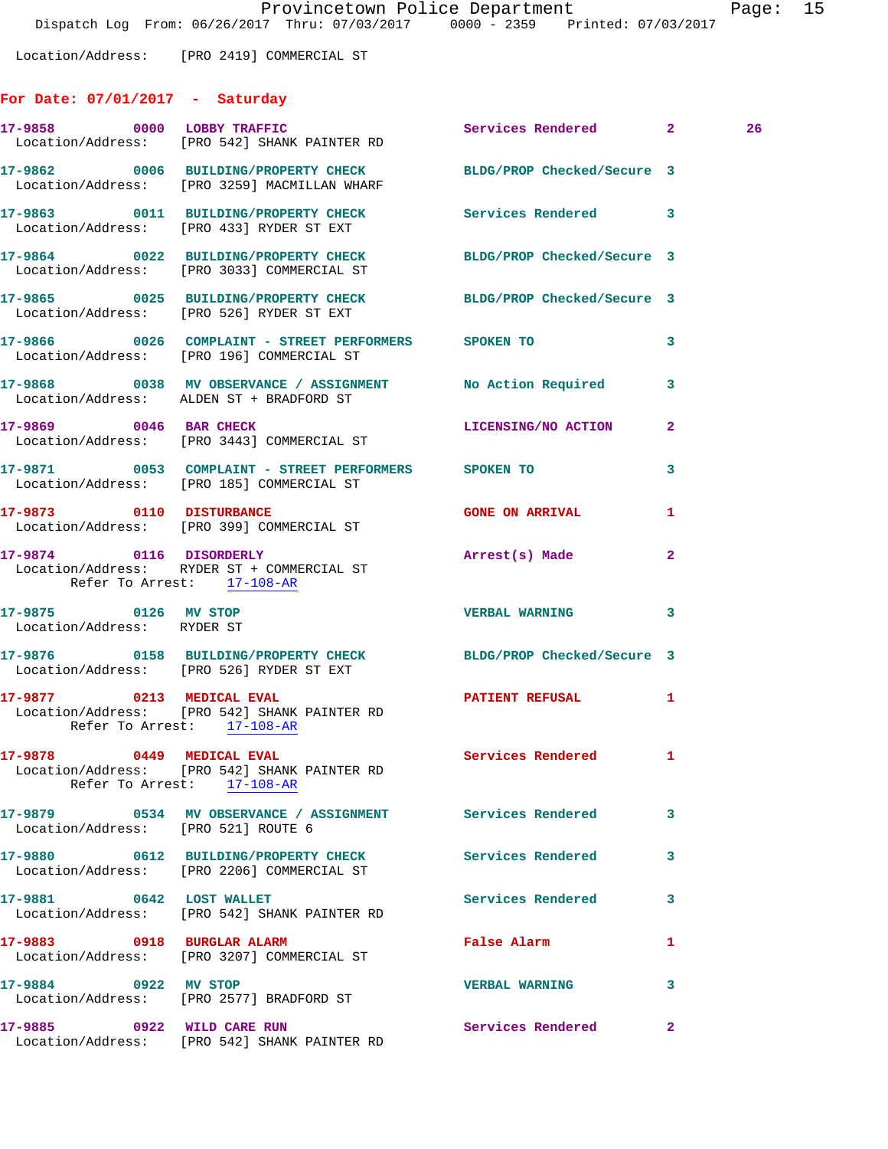Location/Address: [PRO 2419] COMMERCIAL ST

## **For Date: 07/01/2017 - Saturday**

|                                                    | 17-9858 0000 LOBBY TRAFFIC<br>Location/Address: [PRO 542] SHANK PAINTER RD                                      | Services Rendered 2      |              | 26 |
|----------------------------------------------------|-----------------------------------------------------------------------------------------------------------------|--------------------------|--------------|----|
|                                                    | 17-9862 0006 BUILDING/PROPERTY CHECK BLDG/PROP Checked/Secure 3<br>Location/Address: [PRO 3259] MACMILLAN WHARF |                          |              |    |
|                                                    | 17-9863 0011 BUILDING/PROPERTY CHECK Services Rendered 3<br>Location/Address: [PRO 433] RYDER ST EXT            |                          |              |    |
|                                                    | 17-9864 0022 BUILDING/PROPERTY CHECK BLDG/PROP Checked/Secure 3<br>Location/Address: [PRO 3033] COMMERCIAL ST   |                          |              |    |
|                                                    | 17-9865 0025 BUILDING/PROPERTY CHECK BLDG/PROP Checked/Secure 3<br>Location/Address: [PRO 526] RYDER ST EXT     |                          |              |    |
|                                                    | 17-9866 60026 COMPLAINT - STREET PERFORMERS SPOKEN TO<br>Location/Address: [PRO 196] COMMERCIAL ST              |                          | 3            |    |
|                                                    | 17-9868 0038 MV OBSERVANCE / ASSIGNMENT No Action Required<br>Location/Address: ALDEN ST + BRADFORD ST          |                          | 3            |    |
| 17-9869 0046 BAR CHECK                             | Location/Address: [PRO 3443] COMMERCIAL ST                                                                      | LICENSING/NO ACTION      | $\mathbf{2}$ |    |
|                                                    | 17-9871 0053 COMPLAINT - STREET PERFORMERS SPOKEN TO<br>Location/Address: [PRO 185] COMMERCIAL ST               |                          | 3            |    |
|                                                    | 17-9873 0110 DISTURBANCE<br>Location/Address: [PRO 399] COMMERCIAL ST                                           | <b>GONE ON ARRIVAL</b>   | 1            |    |
| Refer To Arrest: 17-108-AR                         | 17-9874 0116 DISORDERLY<br>Location/Address: RYDER ST + COMMERCIAL ST                                           | Arrest(s) Made           | $\mathbf{2}$ |    |
| 17-9875 0126 MV STOP<br>Location/Address: RYDER ST |                                                                                                                 | <b>VERBAL WARNING</b>    | 3            |    |
|                                                    | 17-9876 0158 BUILDING/PROPERTY CHECK BLDG/PROP Checked/Secure 3<br>Location/Address: [PRO 526] RYDER ST EXT     |                          |              |    |
| Refer To Arrest: 17-108-AR                         | 17-9877 0213 MEDICAL EVAL<br>Location/Address: [PRO 542] SHANK PAINTER RD                                       | PATIENT REFUSAL          | 1            |    |
| 17-9878 0449 MEDICAL EVAL                          | Location/Address: [PRO 542] SHANK PAINTER RD<br>Refer To Arrest: 17-108-AR                                      | Services Rendered 1      |              |    |
| Location/Address: [PRO 521] ROUTE 6                | 17-9879 		 0534 MV OBSERVANCE / ASSIGNMENT Services Rendered                                                    |                          | 3            |    |
|                                                    | 17-9880 0612 BUILDING/PROPERTY CHECK<br>Location/Address: [PRO 2206] COMMERCIAL ST                              | Services Rendered        | 3            |    |
| 17-9881 0642 LOST WALLET                           | Location/Address: [PRO 542] SHANK PAINTER RD                                                                    | <b>Services Rendered</b> | 3            |    |
|                                                    | 17-9883 0918 BURGLAR ALARM<br>Location/Address: [PRO 3207] COMMERCIAL ST                                        | <b>False Alarm</b>       | 1            |    |
| 17-9884 0922 MV STOP                               | Location/Address: [PRO 2577] BRADFORD ST                                                                        | <b>VERBAL WARNING</b>    | 3            |    |
| 17-9885 0922 WILD CARE RUN                         | Location/Address: [PRO 542] SHANK PAINTER RD                                                                    | Services Rendered        | $\mathbf{2}$ |    |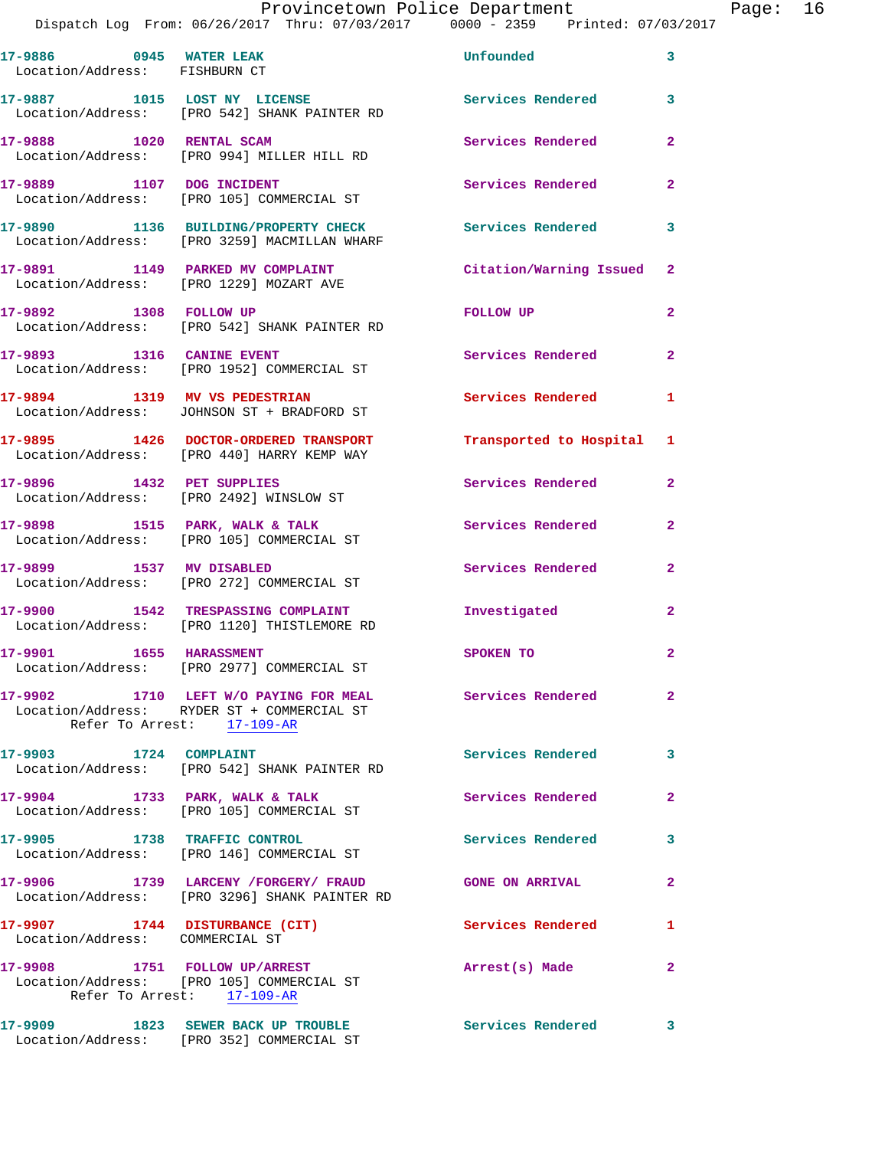## Provincetown Police Department Page: 16

| 17-9886 0945 WATER LEAK<br>Location/Address: FISHBURN CT          |                                                                                                                   | Unfounded                 | 3              |
|-------------------------------------------------------------------|-------------------------------------------------------------------------------------------------------------------|---------------------------|----------------|
| 17-9887 1015 LOST NY LICENSE                                      | Location/Address: [PRO 542] SHANK PAINTER RD                                                                      | <b>Services Rendered</b>  | 3              |
| 17-9888 1020 RENTAL SCAM                                          | Location/Address: [PRO 994] MILLER HILL RD                                                                        | Services Rendered         | $\mathbf{2}$   |
| 17-9889 1107 DOG INCIDENT                                         | Location/Address: [PRO 105] COMMERCIAL ST                                                                         | Services Rendered         | $\mathbf{2}$   |
|                                                                   | 17-9890 1136 BUILDING/PROPERTY CHECK<br>Location/Address: [PRO 3259] MACMILLAN WHARF                              | <b>Services Rendered</b>  | 3              |
|                                                                   | 17-9891 1149 PARKED MV COMPLAINT<br>Location/Address: [PRO 1229] MOZART AVE                                       | Citation/Warning Issued 2 |                |
|                                                                   | 17-9892 1308 FOLLOW UP<br>Location/Address: [PRO 542] SHANK PAINTER RD                                            | FOLLOW UP                 | $\mathbf{2}$   |
| 17-9893 1316 CANINE EVENT                                         | Location/Address: [PRO 1952] COMMERCIAL ST                                                                        | Services Rendered 2       |                |
|                                                                   | 17-9894 1319 MV VS PEDESTRIAN<br>Location/Address: JOHNSON ST + BRADFORD ST                                       | Services Rendered         | 1              |
|                                                                   | 17-9895 1426 DOCTOR-ORDERED TRANSPORT<br>Location/Address: [PRO 440] HARRY KEMP WAY                               | Transported to Hospital 1 |                |
|                                                                   | 17-9896 1432 PET SUPPLIES<br>Location/Address: [PRO 2492] WINSLOW ST                                              | Services Rendered         | $\mathbf{2}$   |
|                                                                   | 17-9898 1515 PARK, WALK & TALK<br>Location/Address: [PRO 105] COMMERCIAL ST                                       | Services Rendered         | $\mathbf{2}$   |
|                                                                   | 17-9899 1537 MV DISABLED<br>Location/Address: [PRO 272] COMMERCIAL ST                                             | Services Rendered         | $\mathbf{2}$   |
|                                                                   | 17-9900 1542 TRESPASSING COMPLAINT<br>Location/Address: [PRO 1120] THISTLEMORE RD                                 | Investigated              | $\mathbf{2}$   |
| 17-9901 1655 HARASSMENT                                           | Location/Address: [PRO 2977] COMMERCIAL ST                                                                        | SPOKEN TO                 | $\overline{2}$ |
|                                                                   | 17-9902 1710 LEFT W/O PAYING FOR MEAL<br>Location/Address: RYDER ST + COMMERCIAL ST<br>Refer To Arrest: 17-109-AR | Services Rendered         |                |
| 17-9903 1724 COMPLAINT                                            | Location/Address: [PRO 542] SHANK PAINTER RD                                                                      | Services Rendered 3       |                |
|                                                                   | 17-9904 1733 PARK, WALK & TALK<br>Location/Address: [PRO 105] COMMERCIAL ST                                       | Services Rendered 2       |                |
|                                                                   | 17-9905 1738 TRAFFIC CONTROL<br>Location/Address: [PRO 146] COMMERCIAL ST                                         | Services Rendered         | $\mathbf{3}$   |
|                                                                   | 17-9906 1739 LARCENY / FORGERY / FRAUD<br>Location/Address: [PRO 3296] SHANK PAINTER RD                           | <b>GONE ON ARRIVAL</b>    | $\mathbf{2}$   |
| 17-9907 1744 DISTURBANCE (CIT)<br>Location/Address: COMMERCIAL ST |                                                                                                                   | <b>Services Rendered</b>  | 1              |
|                                                                   | 17-9908 1751 FOLLOW UP/ARREST<br>Location/Address: [PRO 105] COMMERCIAL ST<br>Refer To Arrest: 17-109-AR          | Arrest(s) Made            | $\mathbf{2}$   |
|                                                                   | 17-9909 1823 SEWER BACK UP TROUBLE<br>Location/Address: [PRO 352] COMMERCIAL ST                                   | Services Rendered 3       |                |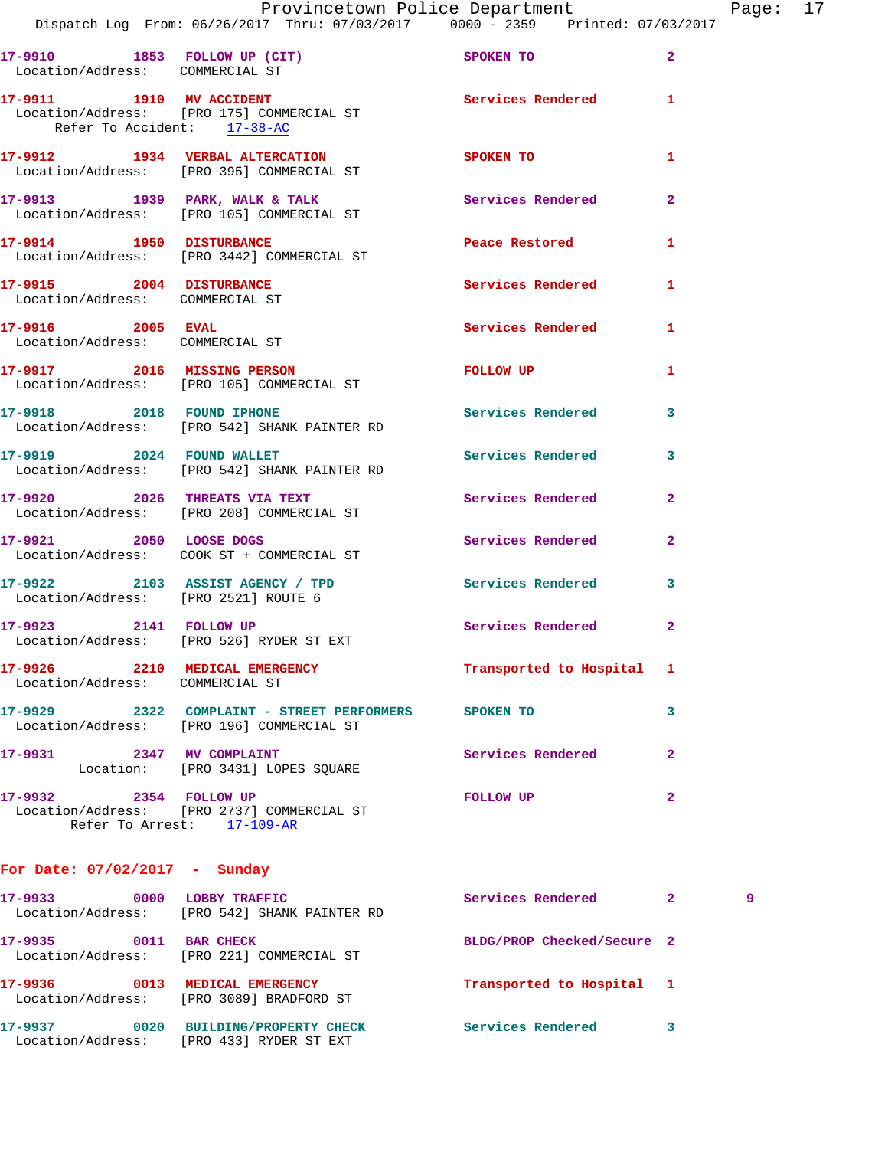|                                                             | Provincetown Police Department<br>Dispatch Log From: 06/26/2017 Thru: 07/03/2017 0000 - 2359 Printed: 07/03/2017 |                          |                |
|-------------------------------------------------------------|------------------------------------------------------------------------------------------------------------------|--------------------------|----------------|
| Location/Address: COMMERCIAL ST                             | 17-9910 1853 FOLLOW UP (CIT)                                                                                     | <b>SPOKEN TO</b>         | $\mathbf{2}$   |
| Refer To Accident: 17-38-AC                                 | 17-9911 1910 MV ACCIDENT<br>Location/Address: [PRO 175] COMMERCIAL ST                                            | Services Rendered        | 1              |
|                                                             | 17-9912 1934 VERBAL ALTERCATION<br>Location/Address: [PRO 395] COMMERCIAL ST                                     | SPOKEN TO                | 1              |
|                                                             | 17-9913 1939 PARK, WALK & TALK<br>Location/Address: [PRO 105] COMMERCIAL ST                                      | <b>Services Rendered</b> | $\overline{2}$ |
| 17-9914 1950 DISTURBANCE                                    | Location/Address: [PRO 3442] COMMERCIAL ST                                                                       | Peace Restored           | 1              |
| 17-9915 2004 DISTURBANCE<br>Location/Address: COMMERCIAL ST |                                                                                                                  | Services Rendered        | 1              |
| 17-9916 2005 EVAL<br>Location/Address: COMMERCIAL ST        |                                                                                                                  | <b>Services Rendered</b> | 1              |
|                                                             | 17-9917 2016 MISSING PERSON<br>Location/Address: [PRO 105] COMMERCIAL ST                                         | FOLLOW UP                | 1              |
|                                                             | 17-9918 2018 FOUND IPHONE<br>Location/Address: [PRO 542] SHANK PAINTER RD                                        | <b>Services Rendered</b> | 3              |
| 17-9919 2024 FOUND WALLET                                   | Location/Address: [PRO 542] SHANK PAINTER RD                                                                     | <b>Services Rendered</b> | 3              |
| 17-9920 2026 THREATS VIA TEXT                               | Location/Address: [PRO 208] COMMERCIAL ST                                                                        | <b>Services Rendered</b> | $\overline{2}$ |
| 17-9921 2050 LOOSE DOGS                                     |                                                                                                                  | Services Rendered        | $\overline{2}$ |

Page: 17

**17-9922 2103 ASSIST AGENCY / TPD Services Rendered 3**  Location/Address: [PRO 2521] ROUTE 6 **17-9923 2141 FOLLOW UP Services Rendered 2**  Location/Address: [PRO 526] RYDER ST EXT **17-9926 2210 MEDICAL EMERGENCY Transported to Hospital 1**  Location/Address: COMMERCIAL ST **17-9929 2322 COMPLAINT - STREET PERFORMERS SPOKEN TO 3**  Location/Address: [PRO 196] COMMERCIAL ST **17-9931 2347 MV COMPLAINT Services Rendered 2**  Location: [PRO 3431] LOPES SQUARE **17-9932 2354 FOLLOW UP FOLLOW UP 2** 

 Location/Address: [PRO 2737] COMMERCIAL ST Refer To Arrest: 17-109-AR

Location/Address: COOK ST + COMMERCIAL ST

## **For Date: 07/02/2017 - Sunday**

| 17–9933 | 0000 | LOBBY TRAFFIC<br>Location/Address: [PRO 542] SHANK PAINTER RD              | Services Rendered          | $\mathbf{2}$ | 9 |
|---------|------|----------------------------------------------------------------------------|----------------------------|--------------|---|
| 17–9935 | 0011 | <b>BAR CHECK</b><br>Location/Address: [PRO 221] COMMERCIAL ST              | BLDG/PROP Checked/Secure 2 |              |   |
| 17–9936 | 0013 | MEDICAL EMERGENCY<br>Location/Address: [PRO 3089] BRADFORD ST              | Transported to Hospital 1  |              |   |
| 17–9937 | 0020 | <b>BUILDING/PROPERTY CHECK</b><br>Location/Address: [PRO 433] RYDER ST EXT | Services Rendered          | 3            |   |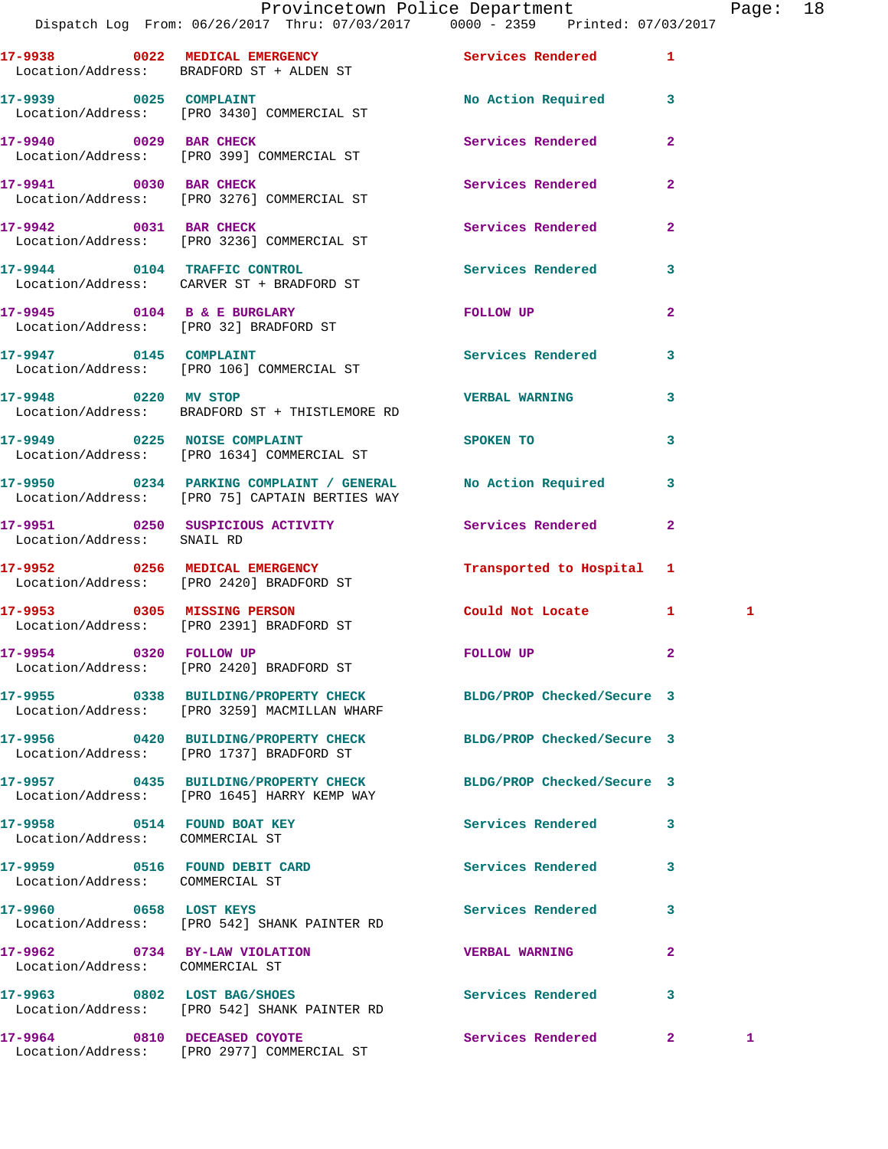|                                      | Provincetown Police Department                                                 |                    |              | Page: | 18 |
|--------------------------------------|--------------------------------------------------------------------------------|--------------------|--------------|-------|----|
|                                      | Dispatch Log From: 06/26/2017 Thru: 07/03/2017 0000 - 2359 Printed: 07/03/2017 |                    |              |       |    |
| 17-9938<br>0022<br>Location/Address: | MEDICAL EMERGENCY<br>BRADFORD ST + ALDEN ST                                    | Services Rendered  |              |       |    |
| 17–9939<br>0025<br>Location/Address: | COMPLAINT<br>[PRO 3430] COMMERCIAL ST                                          | No Action Required |              |       |    |
| 17-9940<br>0029                      | <b>BAR CHECK</b><br>Location/Address: [PRO 399] COMMERCIAL ST                  | Services Rendered  | $\mathbf{2}$ |       |    |

**17-9941** 0030 BAR CHECK **17-9941 17-9941** 2 Location/Address: [PRO 3276] COMMERCIAL ST

Location/Address: [PRO 3236] COMMERCIAL ST

Location/Address: SNAIL RD

Location/Address: [PRO 1737] BRADFORD ST

Location/Address: [PRO 1645] HARRY KEMP WAY

Location/Address: COMMERCIAL ST

**17-9959 0516 FOUND DEBIT CARD Services Rendered 3**  Location/Address: COMMERCIAL ST

Location/Address: COMMERCIAL ST

**17-9942 0031 BAR CHECK Services Rendered 2** 

Location/Address: CARVER ST + BRADFORD ST

Location/Address: [PRO 32] BRADFORD ST

**17-9947 0145 COMPLAINT Services Rendered 3**  Location/Address: [PRO 106] COMMERCIAL ST

**17-9948 0220 MV STOP VERBAL WARNING 3**  Location/Address: BRADFORD ST + THISTLEMORE RD

**17-9949 0225 NOISE COMPLAINT SPOKEN TO 3** 

**17-9950 0234 PARKING COMPLAINT / GENERAL No Action Required 3**  Location/Address: [PRO 75] CAPTAIN BERTIES WAY

**17-9951 0250 SUSPICIOUS ACTIVITY Services Rendered 2** 

Location/Address: [PRO 2420] BRADFORD ST

**17-9953 0305 MISSING PERSON Could Not Locate 1 1**  Location/Address: [PRO 2391] BRADFORD ST

**17-9954 0320 FOLLOW UP FOLLOW UP 2** 

**17-9955 0338 BUILDING/PROPERTY CHECK BLDG/PROP Checked/Secure 3** 

**17-9957 0435 BUILDING/PROPERTY CHECK BLDG/PROP Checked/Secure 3** 

**17-9960 0658 LOST KEYS Services Rendered 3**  Location/Address: [PRO 542] SHANK PAINTER RD

**17-9962 0734 BY-LAW VIOLATION VERBAL WARNING 2** 

**17-9963 0802 LOST BAG/SHOES Services Rendered 3** 

Location/Address: [PRO 542] SHANK PAINTER RD

Location/Address: [PRO 2977] COMMERCIAL ST

**17-9944 0104 TRAFFIC CONTROL Services Rendered 3** 

**17-9945 0104 B & E BURGLARY FOLLOW UP 2** 

Location/Address: [PRO 1634] COMMERCIAL ST

**17-9952 0256 MEDICAL EMERGENCY Transported to Hospital 1** 

Location/Address: [PRO 2420] BRADFORD ST

Location/Address: [PRO 3259] MACMILLAN WHARF

**17-9956 0420 BUILDING/PROPERTY CHECK BLDG/PROP Checked/Secure 3** 

**17-9958 0514 FOUND BOAT KEY Services Rendered 3** 

**17-9964 0810 DECEASED COYOTE Services Rendered 2 1**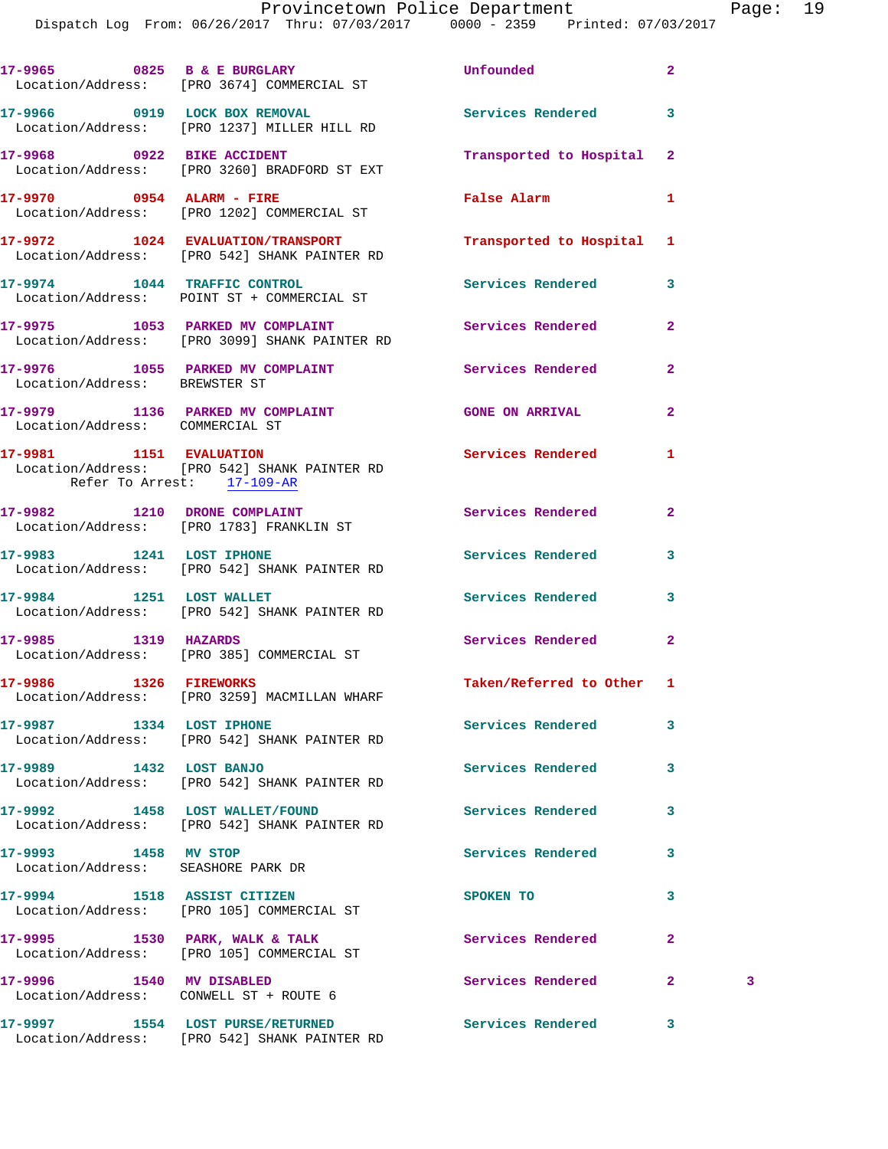|                                                                    | 17-9965 0825 B & E BURGLARY<br>Location/Address: [PRO 3674] COMMERCIAL ST         | <b>Unfounded</b>          | $\overline{a}$ |   |
|--------------------------------------------------------------------|-----------------------------------------------------------------------------------|---------------------------|----------------|---|
|                                                                    | 17-9966 0919 LOCK BOX REMOVAL<br>Location/Address: [PRO 1237] MILLER HILL RD      | Services Rendered         | 3              |   |
|                                                                    | 17-9968 0922 BIKE ACCIDENT<br>Location/Address: [PRO 3260] BRADFORD ST EXT        | Transported to Hospital   | $\mathbf{2}$   |   |
|                                                                    | 17-9970 0954 ALARM - FIRE<br>Location/Address: [PRO 1202] COMMERCIAL ST           | <b>False Alarm</b>        | 1              |   |
|                                                                    | 17-9972 1024 EVALUATION/TRANSPORT<br>Location/Address: [PRO 542] SHANK PAINTER RD | Transported to Hospital 1 |                |   |
|                                                                    | 17-9974 1044 TRAFFIC CONTROL<br>Location/Address: POINT ST + COMMERCIAL ST        | Services Rendered         | 3              |   |
|                                                                    | 17-9975 1053 PARKED MV COMPLAINT<br>Location/Address: [PRO 3099] SHANK PAINTER RD | Services Rendered         | $\overline{a}$ |   |
| Location/Address: BREWSTER ST                                      | 17-9976 1055 PARKED MV COMPLAINT                                                  | <b>Services Rendered</b>  | $\mathbf{2}$   |   |
| Location/Address: COMMERCIAL ST                                    | 17-9979 1136 PARKED MV COMPLAINT CONS GONE ON ARRIVAL                             |                           | $\mathbf{2}$   |   |
| Refer To Arrest: 17-109-AR                                         | 17-9981 1151 EVALUATION<br>Location/Address: [PRO 542] SHANK PAINTER RD           | Services Rendered         | 1              |   |
|                                                                    | 17-9982 1210 DRONE COMPLAINT                                                      | Services Rendered         | $\mathbf{2}$   |   |
|                                                                    | Location/Address: [PRO 1783] FRANKLIN ST                                          |                           |                |   |
| 17-9983 1241 LOST IPHONE                                           | Location/Address: [PRO 542] SHANK PAINTER RD                                      | Services Rendered         | 3              |   |
|                                                                    | 17-9984 1251 LOST WALLET<br>Location/Address: [PRO 542] SHANK PAINTER RD          | Services Rendered         | 3              |   |
| 17-9985 1319 HAZARDS                                               | Location/Address: [PRO 385] COMMERCIAL ST                                         | Services Rendered         | $\overline{a}$ |   |
|                                                                    | 17-9986 1326 FIREWORKS<br>Location/Address: [PRO 3259] MACMILLAN WHARF            | Taken/Referred to Other 1 |                |   |
| 17-9987 1334 LOST IPHONE                                           | Location/Address: [PRO 542] SHANK PAINTER RD                                      | <b>Services Rendered</b>  | 3              |   |
| 17-9989 1432 LOST BANJO                                            | Location/Address: [PRO 542] SHANK PAINTER RD                                      | <b>Services Rendered</b>  | 3              |   |
| 17-9992 1458 LOST WALLET/FOUND                                     | Location/Address: [PRO 542] SHANK PAINTER RD                                      | Services Rendered         | 3              |   |
| 17-9993 1458 MV STOP<br>Location/Address: SEASHORE PARK DR         |                                                                                   | <b>Services Rendered</b>  | 3              |   |
| 17-9994 1518 ASSIST CITIZEN                                        | Location/Address: [PRO 105] COMMERCIAL ST                                         | SPOKEN TO                 | 3              |   |
|                                                                    | 17-9995 1530 PARK, WALK & TALK<br>Location/Address: [PRO 105] COMMERCIAL ST       | Services Rendered         | $\mathbf{2}$   |   |
| 17-9996 1540 MV DISABLED<br>Location/Address: CONWELL ST + ROUTE 6 |                                                                                   | Services Rendered         | $\mathbf{2}$   | 3 |
|                                                                    | 17-9997 1554 LOST PURSE/RETURNED<br>Location/Address: [PRO 542] SHANK PAINTER RD  | <b>Services Rendered</b>  | 3              |   |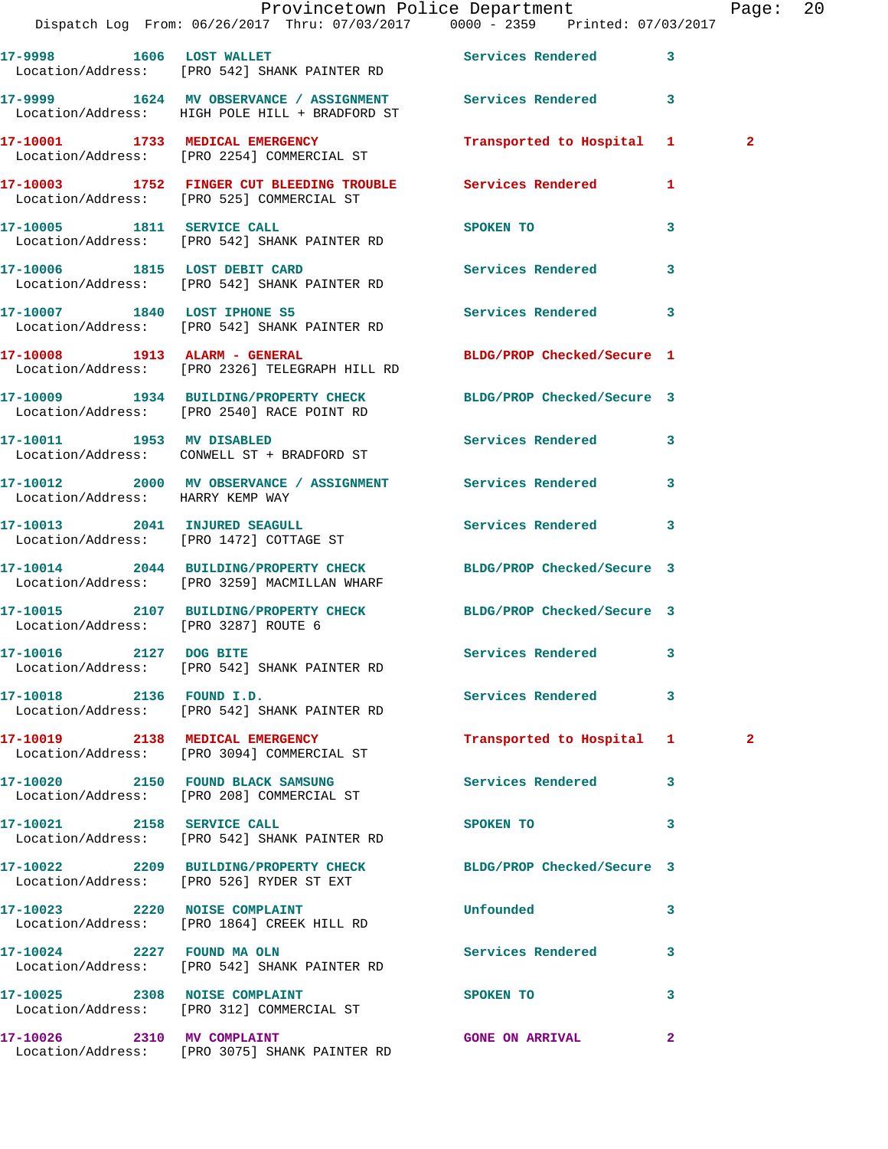|                                  | Dispatch Log From: 06/26/2017 Thru: 07/03/2017 0000 - 2359 Printed: 07/03/2017                                   | Provincetown Police Department |              | Page: $20$   |  |
|----------------------------------|------------------------------------------------------------------------------------------------------------------|--------------------------------|--------------|--------------|--|
|                                  | 17-9998 1606 LOST WALLET Services Rendered<br>Location/Address: [PRO 542] SHANK PAINTER RD                       |                                | $\mathbf{3}$ |              |  |
|                                  | 17-9999 1624 MV OBSERVANCE / ASSIGNMENT Services Rendered 3<br>Location/Address: HIGH POLE HILL + BRADFORD ST    |                                |              |              |  |
|                                  | 17-10001 1733 MEDICAL EMERGENCY<br>Location/Address: [PRO 2254] COMMERCIAL ST                                    | Transported to Hospital 1      |              | $\mathbf{2}$ |  |
|                                  | 17-10003 1752 FINGER CUT BLEEDING TROUBLE Services Rendered<br>Location/Address: [PRO 525] COMMERCIAL ST         |                                | 1            |              |  |
|                                  | 17-10005 1811 SERVICE CALL<br>Location/Address: [PRO 542] SHANK PAINTER RD                                       | SPOKEN TO                      | 3            |              |  |
|                                  | 17-10006 1815 LOST DEBIT CARD<br>Location/Address: [PRO 542] SHANK PAINTER RD                                    | Services Rendered              | 3            |              |  |
|                                  | 17-10007 1840 LOST IPHONE S5<br>Location/Address: [PRO 542] SHANK PAINTER RD                                     | Services Rendered              | 3            |              |  |
|                                  | 17-10008 1913 ALARM - GENERAL<br>Location/Address: [PRO 2326] TELEGRAPH HILL RD                                  | BLDG/PROP Checked/Secure 1     |              |              |  |
|                                  | 17-10009 1934 BUILDING/PROPERTY CHECK BLDG/PROP Checked/Secure 3<br>Location/Address: [PRO 2540] RACE POINT RD   |                                |              |              |  |
|                                  | 17-10011 1953 MV DISABLED<br>Location/Address: CONWELL ST + BRADFORD ST                                          | Services Rendered              | 3            |              |  |
| Location/Address: HARRY KEMP WAY | 17-10012 2000 MV OBSERVANCE / ASSIGNMENT Services Rendered                                                       |                                | $\mathbf{3}$ |              |  |
|                                  | 17-10013 2041 INJURED SEAGULL<br>Location/Address: [PRO 1472] COTTAGE ST                                         | Services Rendered              | 3            |              |  |
|                                  | 17-10014 2044 BUILDING/PROPERTY CHECK BLDG/PROP Checked/Secure 3<br>Location/Address: [PRO 3259] MACMILLAN WHARF |                                |              |              |  |
|                                  | 17-10015 2107 BUILDING/PROPERTY CHECK BLDG/PROP Checked/Secure 3<br>Location/Address: [PRO 3287] ROUTE 6         |                                |              |              |  |
|                                  | 17-10016 2127 DOG BITE<br>Location/Address: [PRO 542] SHANK PAINTER RD                                           | Services Rendered              |              |              |  |
| 17-10018 2136 FOUND I.D.         | Location/Address: [PRO 542] SHANK PAINTER RD                                                                     | Services Rendered              | 3            |              |  |
|                                  | 17-10019 2138 MEDICAL EMERGENCY<br>Location/Address: [PRO 3094] COMMERCIAL ST                                    | Transported to Hospital 1      |              | $\mathbf{2}$ |  |
|                                  | 17-10020 2150 FOUND BLACK SAMSUNG<br>Location/Address: [PRO 208] COMMERCIAL ST                                   | <b>Services Rendered</b>       | 3            |              |  |
| 17-10021 2158 SERVICE CALL       | Location/Address: [PRO 542] SHANK PAINTER RD                                                                     | SPOKEN TO                      | 3            |              |  |
|                                  | 17-10022 2209 BUILDING/PROPERTY CHECK BLDG/PROP Checked/Secure 3<br>Location/Address: [PRO 526] RYDER ST EXT     |                                |              |              |  |
|                                  | 17-10023 2220 NOISE COMPLAINT<br>Location/Address: [PRO 1864] CREEK HILL RD                                      | <b>Unfounded</b>               | 3            |              |  |
|                                  | 17-10024 2227 FOUND MA OLN<br>Location/Address: [PRO 542] SHANK PAINTER RD                                       | Services Rendered              | 3            |              |  |
| 17-10025 2308 NOISE COMPLAINT    | Location/Address: [PRO 312] COMMERCIAL ST                                                                        | SPOKEN TO                      | 3            |              |  |
| 17-10026 2310 MV COMPLAINT       |                                                                                                                  | <b>GONE ON ARRIVAL</b>         | $\mathbf{2}$ |              |  |

Location/Address: [PRO 3075] SHANK PAINTER RD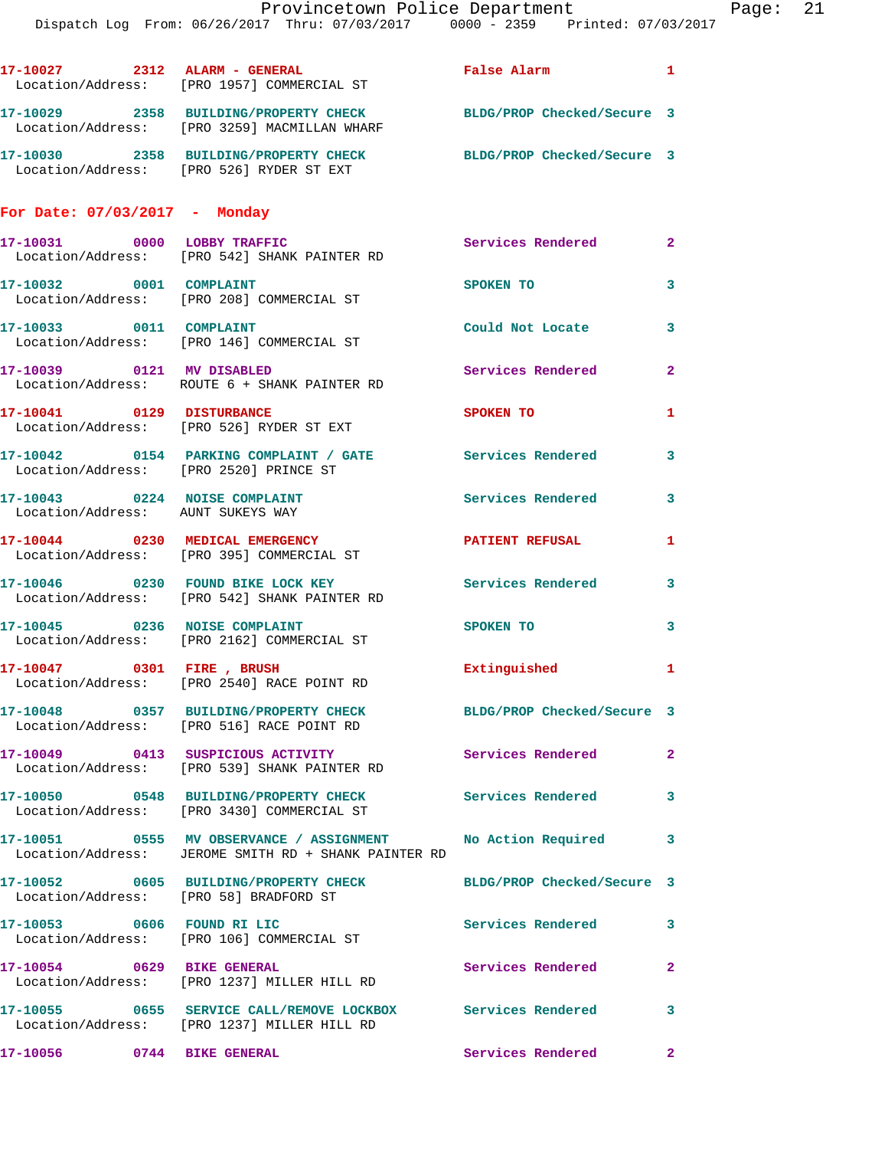Provincetown Police Department Fage: 21 Dispatch Log From: 06/26/2017 Thru: 07/03/2017 0000 - 2359 Printed: 07/03/2017 **17-10027 2312 ALARM - GENERAL False Alarm 1**  Location/Address: [PRO 1957] COMMERCIAL ST **17-10029 2358 BUILDING/PROPERTY CHECK BLDG/PROP Checked/Secure 3**  Location/Address: [PRO 3259] MACMILLAN WHARF **17-10030 2358 BUILDING/PROPERTY CHECK BLDG/PROP Checked/Secure 3**  Location/Address: [PRO 526] RYDER ST EXT **For Date: 07/03/2017 - Monday 17-10031 0000 LOBBY TRAFFIC Services Rendered 2**  Location/Address: [PRO 542] SHANK PAINTER RD **17-10032 0001 COMPLAINT SPOKEN TO 3**  Location/Address: [PRO 208] COMMERCIAL ST **17-10033 0011 COMPLAINT Could Not Locate 3**  Location/Address: [PRO 146] COMMERCIAL ST **17-10039 0121 MV DISABLED Services Rendered 2**  Location/Address: ROUTE 6 + SHANK PAINTER RD **17-10041 0129 DISTURBANCE SPOKEN TO 1**  Location/Address: [PRO 526] RYDER ST EXT **17-10042 0154 PARKING COMPLAINT / GATE Services Rendered 3**  Location/Address: [PRO 2520] PRINCE ST 17-10043 0224 NOISE COMPLAINT Services Rendered 3 Location/Address: AUNT SUKEYS WAY **17-10044 0230 MEDICAL EMERGENCY PATIENT REFUSAL 1**  Location/Address: [PRO 395] COMMERCIAL ST **17-10046 0230 FOUND BIKE LOCK KEY Services Rendered 3**  Location/Address: [PRO 542] SHANK PAINTER RD **17-10045** 0236 NOISE COMPLAINT SPOKEN TO 3 Location/Address: [PRO 2162] COMMERCIAL ST **17-10047 0301 FIRE , BRUSH Extinguished 1**  Location/Address: [PRO 2540] RACE POINT RD **17-10048 0357 BUILDING/PROPERTY CHECK BLDG/PROP Checked/Secure 3**  Location/Address: [PRO 516] RACE POINT RD **17-10049 0413 SUSPICIOUS ACTIVITY Services Rendered 2**  Location/Address: [PRO 539] SHANK PAINTER RD **17-10050 0548 BUILDING/PROPERTY CHECK Services Rendered 3**  Location/Address: [PRO 3430] COMMERCIAL ST

**17-10051 0555 MV OBSERVANCE / ASSIGNMENT No Action Required 3**  Location/Address: JEROME SMITH RD + SHANK PAINTER RD **17-10052 0605 BUILDING/PROPERTY CHECK BLDG/PROP Checked/Secure 3**  Location/Address: [PRO 58] BRADFORD ST **17-10053 0606 FOUND RI LIC Services Rendered 3**  Location/Address: [PRO 106] COMMERCIAL ST **17-10054 0629 BIKE GENERAL Services Rendered 2**  Location/Address: [PRO 1237] MILLER HILL RD **17-10055 0655 SERVICE CALL/REMOVE LOCKBOX Services Rendered 3**  Location/Address: [PRO 1237] MILLER HILL RD

**17-10056 0744 BIKE GENERAL Services Rendered 2**